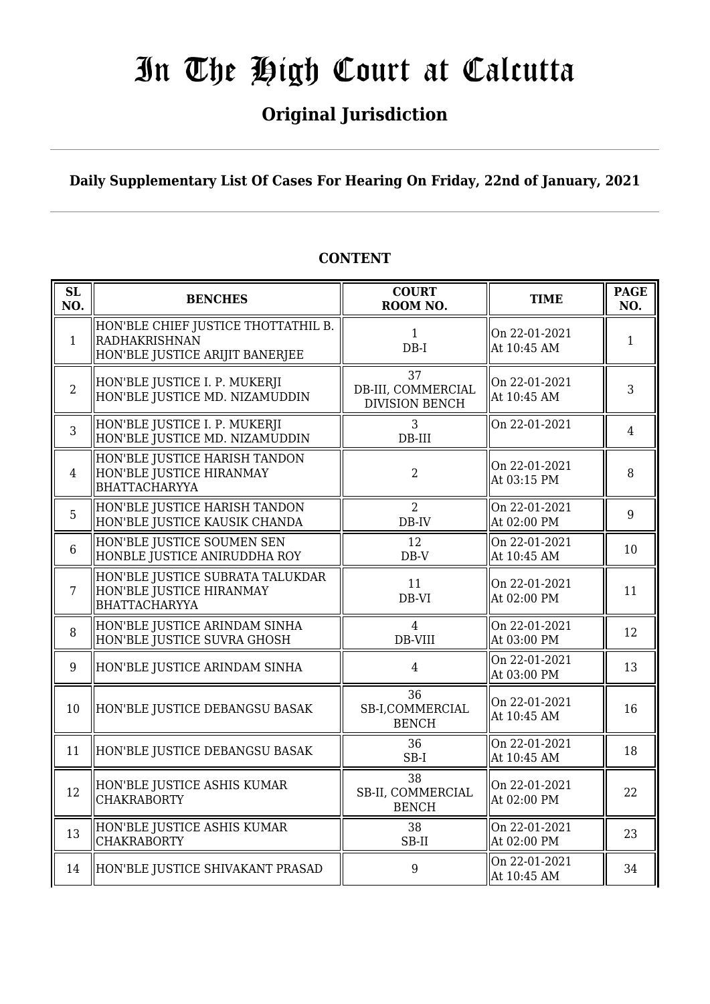## **Original Jurisdiction**

### **Daily Supplementary List Of Cases For Hearing On Friday, 22nd of January, 2021**

| <b>SL</b><br>NO. | <b>BENCHES</b>                                                                          | <b>COURT</b><br>ROOM NO.                          | <b>TIME</b>                  | <b>PAGE</b><br>NO. |
|------------------|-----------------------------------------------------------------------------------------|---------------------------------------------------|------------------------------|--------------------|
| $\mathbf{1}$     | HON'BLE CHIEF JUSTICE THOTTATHIL B.<br>RADHAKRISHNAN<br>HON'BLE JUSTICE ARIJIT BANERJEE | $\mathbf{1}$<br>$DB-I$                            | On 22-01-2021<br>At 10:45 AM | 1                  |
| $\overline{2}$   | HON'BLE JUSTICE I. P. MUKERJI<br>HON'BLE JUSTICE MD. NIZAMUDDIN                         | 37<br>DB-III, COMMERCIAL<br><b>DIVISION BENCH</b> | On 22-01-2021<br>At 10:45 AM | 3                  |
| 3                | HON'BLE JUSTICE I. P. MUKERJI<br>HON'BLE JUSTICE MD. NIZAMUDDIN                         | 3<br>$DB-III$                                     | On 22-01-2021                | 4                  |
| 4                | HON'BLE JUSTICE HARISH TANDON<br>HON'BLE JUSTICE HIRANMAY<br><b>BHATTACHARYYA</b>       | $\overline{2}$                                    | On 22-01-2021<br>At 03:15 PM | 8                  |
| 5                | HON'BLE JUSTICE HARISH TANDON<br>HON'BLE JUSTICE KAUSIK CHANDA                          | $\overline{2}$<br>DB-IV                           | On 22-01-2021<br>At 02:00 PM | 9                  |
| $6\phantom{.}6$  | HON'BLE JUSTICE SOUMEN SEN<br>HONBLE JUSTICE ANIRUDDHA ROY                              | 12<br>$DB-V$                                      | On 22-01-2021<br>At 10:45 AM | 10                 |
| $\overline{7}$   | HON'BLE JUSTICE SUBRATA TALUKDAR<br>HON'BLE JUSTICE HIRANMAY<br><b>BHATTACHARYYA</b>    | 11<br>DB-VI                                       | On 22-01-2021<br>At 02:00 PM | 11                 |
| 8                | HON'BLE JUSTICE ARINDAM SINHA<br>HON'BLE JUSTICE SUVRA GHOSH                            | 4<br>DB-VIII                                      | On 22-01-2021<br>At 03:00 PM | 12                 |
| 9                | HON'BLE JUSTICE ARINDAM SINHA                                                           | $\overline{4}$                                    | On 22-01-2021<br>At 03:00 PM | 13                 |
| 10               | HON'BLE JUSTICE DEBANGSU BASAK                                                          | 36<br>SB-I.COMMERCIAL<br><b>BENCH</b>             | On 22-01-2021<br>At 10:45 AM | 16                 |
| 11               | HON'BLE JUSTICE DEBANGSU BASAK                                                          | 36<br>$SB-I$                                      | On 22-01-2021<br>At 10:45 AM | 18                 |
| 12               | HON'BLE JUSTICE ASHIS KUMAR<br><b>CHAKRABORTY</b>                                       | 38<br>SB-II, COMMERCIAL<br><b>BENCH</b>           | On 22-01-2021<br>At 02:00 PM | 22                 |
| 13               | HON'BLE JUSTICE ASHIS KUMAR<br><b>CHAKRABORTY</b>                                       | 38<br>SB-II                                       | On 22-01-2021<br>At 02:00 PM | 23                 |
| 14               | HON'BLE JUSTICE SHIVAKANT PRASAD                                                        | 9                                                 | On 22-01-2021<br>At 10:45 AM | 34                 |

### **CONTENT**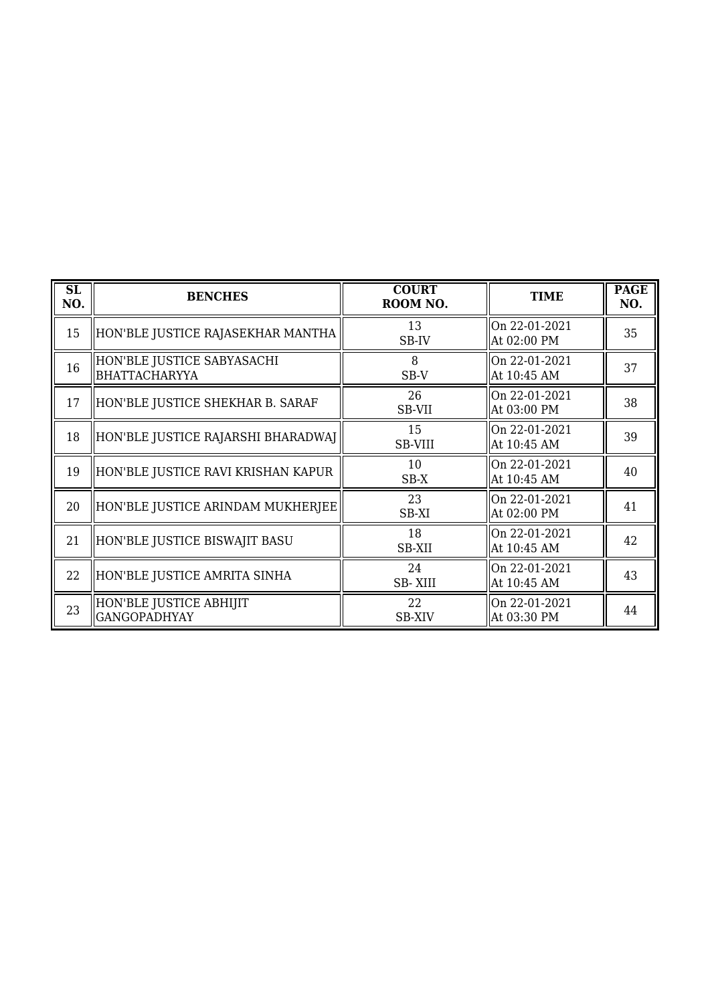| SL<br>NO. | <b>BENCHES</b>                                     | <b>COURT</b><br>ROOM NO. | <b>TIME</b>                  | <b>PAGE</b><br>NO. |
|-----------|----------------------------------------------------|--------------------------|------------------------------|--------------------|
| 15        | HON'BLE JUSTICE RAJASEKHAR MANTHA                  | 13<br>SB-IV              | On 22-01-2021<br>At 02:00 PM | 35                 |
| 16        | HON'BLE JUSTICE SABYASACHI<br><b>BHATTACHARYYA</b> | 8<br>SB-V                | On 22-01-2021<br>At 10:45 AM | 37                 |
| 17        | HON'BLE JUSTICE SHEKHAR B. SARAF                   | 26<br>SB-VII             | On 22-01-2021<br>At 03:00 PM | 38                 |
| 18        | HON'BLE JUSTICE RAJARSHI BHARADWAJ                 | 15<br><b>SB-VIII</b>     | On 22-01-2021<br>At 10:45 AM | 39                 |
| 19        | HON'BLE JUSTICE RAVI KRISHAN KAPUR                 | 10<br>SB-X               | On 22-01-2021<br>At 10:45 AM | 40                 |
| 20        | HON'BLE JUSTICE ARINDAM MUKHERJEE                  | 23<br>SB-XI              | On 22-01-2021<br>At 02:00 PM | 41                 |
| 21        | HON'BLE JUSTICE BISWAJIT BASU                      | 18<br>SB-XII             | On 22-01-2021<br>At 10:45 AM | 42                 |
| 22        | HON'BLE JUSTICE AMRITA SINHA                       | 24<br><b>SB-XIII</b>     | On 22-01-2021<br>At 10:45 AM | 43                 |
| 23        | HON'BLE JUSTICE ABHIJIT<br><b>GANGOPADHYAY</b>     | 22<br><b>SB-XIV</b>      | On 22-01-2021<br>At 03:30 PM | 44                 |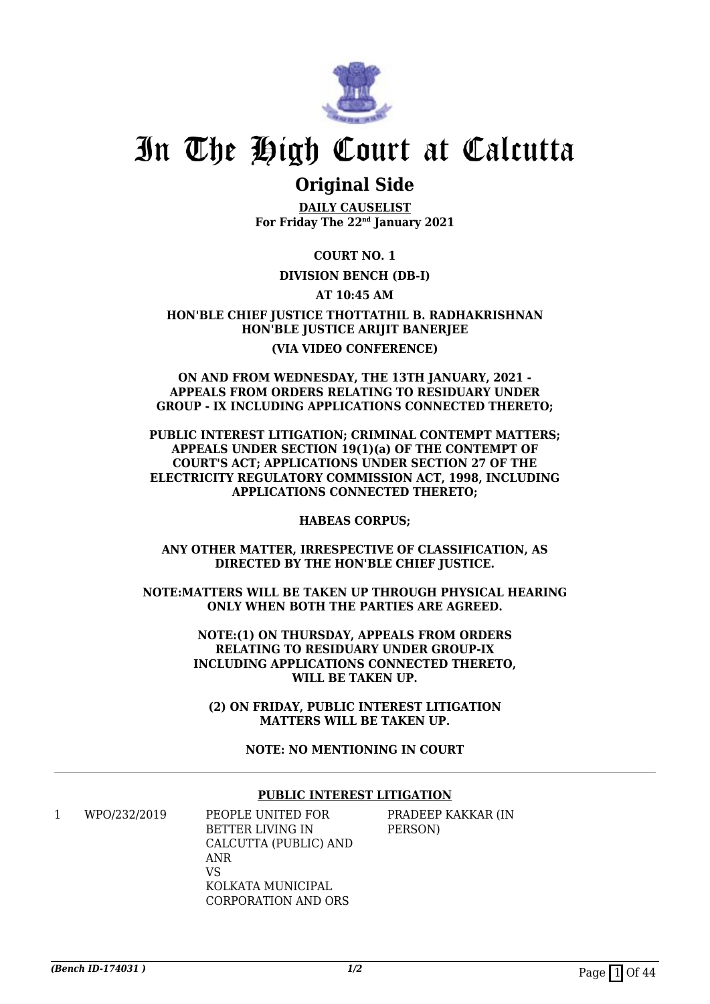

### **Original Side**

**DAILY CAUSELIST For Friday The 22nd January 2021**

**COURT NO. 1**

#### **DIVISION BENCH (DB-I)**

**AT 10:45 AM**

**HON'BLE CHIEF JUSTICE THOTTATHIL B. RADHAKRISHNAN HON'BLE JUSTICE ARIJIT BANERJEE (VIA VIDEO CONFERENCE)**

#### **ON AND FROM WEDNESDAY, THE 13TH JANUARY, 2021 - APPEALS FROM ORDERS RELATING TO RESIDUARY UNDER GROUP - IX INCLUDING APPLICATIONS CONNECTED THERETO;**

**PUBLIC INTEREST LITIGATION; CRIMINAL CONTEMPT MATTERS; APPEALS UNDER SECTION 19(1)(a) OF THE CONTEMPT OF COURT'S ACT; APPLICATIONS UNDER SECTION 27 OF THE ELECTRICITY REGULATORY COMMISSION ACT, 1998, INCLUDING APPLICATIONS CONNECTED THERETO;**

**HABEAS CORPUS;**

**ANY OTHER MATTER, IRRESPECTIVE OF CLASSIFICATION, AS DIRECTED BY THE HON'BLE CHIEF JUSTICE.**

**NOTE:MATTERS WILL BE TAKEN UP THROUGH PHYSICAL HEARING ONLY WHEN BOTH THE PARTIES ARE AGREED.**

> **NOTE:(1) ON THURSDAY, APPEALS FROM ORDERS RELATING TO RESIDUARY UNDER GROUP-IX INCLUDING APPLICATIONS CONNECTED THERETO, WILL BE TAKEN UP.**

**(2) ON FRIDAY, PUBLIC INTEREST LITIGATION MATTERS WILL BE TAKEN UP.**

**NOTE: NO MENTIONING IN COURT**

#### **PUBLIC INTEREST LITIGATION**

1 WPO/232/2019 PEOPLE UNITED FOR BETTER LIVING IN CALCUTTA (PUBLIC) AND ANR  $V<sub>C</sub>$ KOLKATA MUNICIPAL CORPORATION AND ORS

PRADEEP KAKKAR (IN PERSON)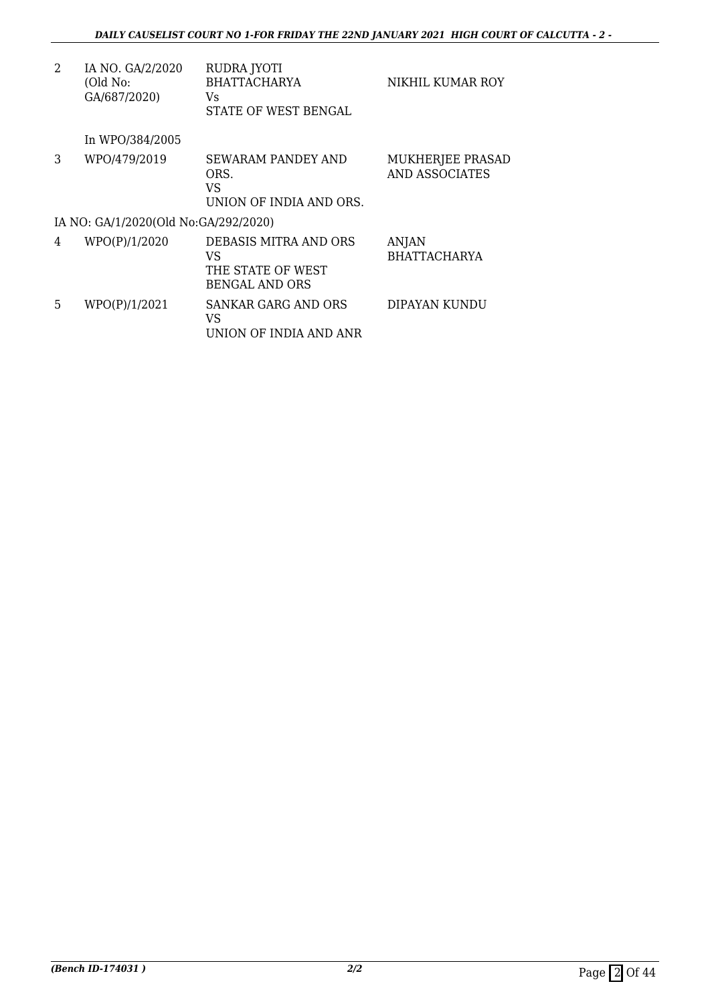| 2 | IA NO. GA/2/2020<br>(Old No:<br>GA/687/2020) | RUDRA JYOTI<br><b>BHATTACHARYA</b><br>Vs.<br>STATE OF WEST BENGAL         | NIKHIL KUMAR ROY                          |
|---|----------------------------------------------|---------------------------------------------------------------------------|-------------------------------------------|
|   | In WPO/384/2005                              |                                                                           |                                           |
| 3 | WPO/479/2019                                 | <b>SEWARAM PANDEY AND</b><br>ORS.<br>VS<br>UNION OF INDIA AND ORS.        | MUKHERJEE PRASAD<br><b>AND ASSOCIATES</b> |
|   | IA NO: GA/1/2020(Old No:GA/292/2020)         |                                                                           |                                           |
| 4 | WPO(P)/1/2020                                | DEBASIS MITRA AND ORS<br>VS<br>THE STATE OF WEST<br><b>BENGAL AND ORS</b> | <b>ANJAN</b><br><b>BHATTACHARYA</b>       |
| 5 | WPO(P)/1/2021                                | SANKAR GARG AND ORS<br>VS<br>UNION OF INDIA AND ANR                       | DIPAYAN KUNDU                             |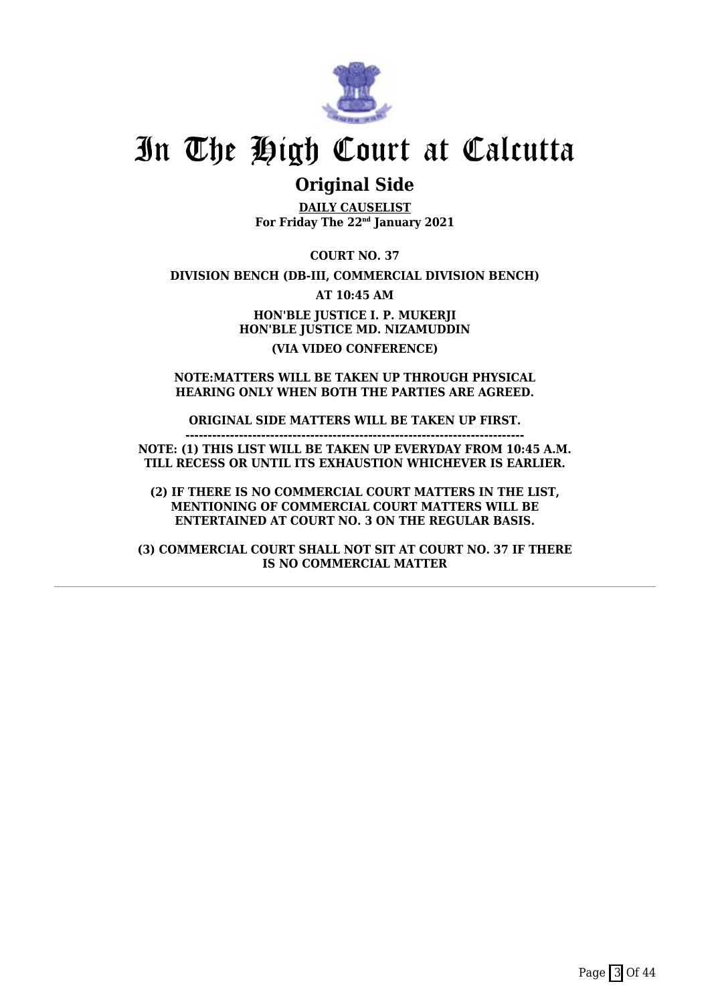

### **Original Side**

**DAILY CAUSELIST For Friday The 22nd January 2021**

**COURT NO. 37**

**DIVISION BENCH (DB-III, COMMERCIAL DIVISION BENCH)**

**AT 10:45 AM**

**HON'BLE JUSTICE I. P. MUKERJI HON'BLE JUSTICE MD. NIZAMUDDIN (VIA VIDEO CONFERENCE)**

**NOTE:MATTERS WILL BE TAKEN UP THROUGH PHYSICAL HEARING ONLY WHEN BOTH THE PARTIES ARE AGREED.**

**ORIGINAL SIDE MATTERS WILL BE TAKEN UP FIRST.**

**NOTE: (1) THIS LIST WILL BE TAKEN UP EVERYDAY FROM 10:45 A.M. TILL RECESS OR UNTIL ITS EXHAUSTION WHICHEVER IS EARLIER.**

**----------------------------------------------------------------------------**

**(2) IF THERE IS NO COMMERCIAL COURT MATTERS IN THE LIST, MENTIONING OF COMMERCIAL COURT MATTERS WILL BE ENTERTAINED AT COURT NO. 3 ON THE REGULAR BASIS.**

**(3) COMMERCIAL COURT SHALL NOT SIT AT COURT NO. 37 IF THERE IS NO COMMERCIAL MATTER**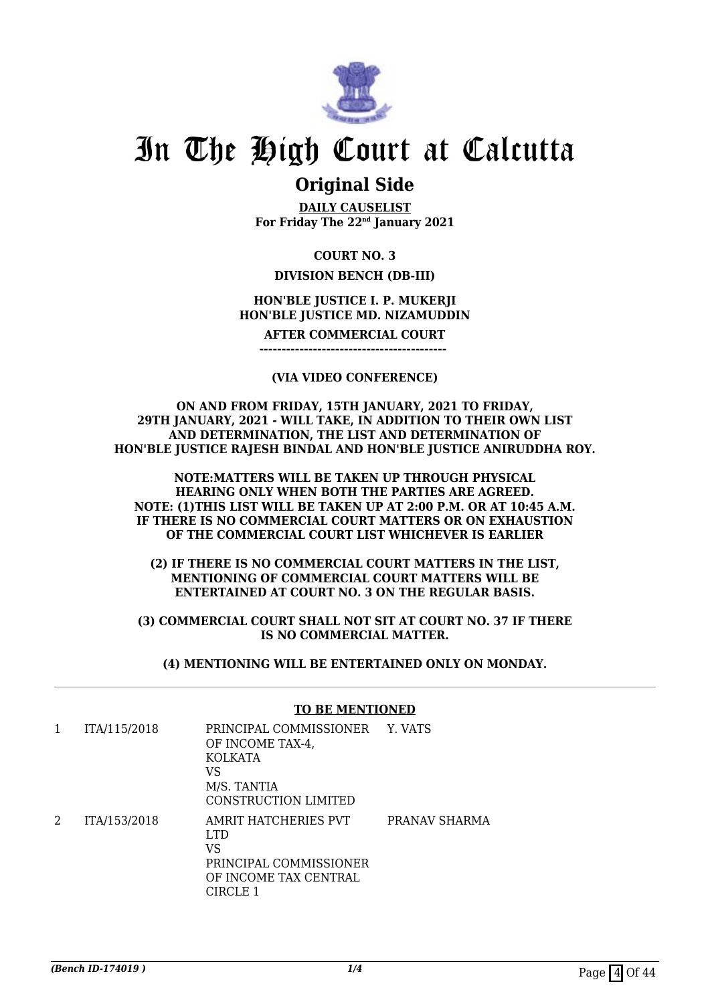

### **Original Side**

**DAILY CAUSELIST For Friday The 22nd January 2021**

#### **COURT NO. 3**

#### **DIVISION BENCH (DB-III)**

#### **HON'BLE JUSTICE I. P. MUKERJI HON'BLE JUSTICE MD. NIZAMUDDIN**

**AFTER COMMERCIAL COURT**

**------------------------------------------** 

#### **(VIA VIDEO CONFERENCE)**

**ON AND FROM FRIDAY, 15TH JANUARY, 2021 TO FRIDAY, 29TH JANUARY, 2021 - WILL TAKE, IN ADDITION TO THEIR OWN LIST AND DETERMINATION, THE LIST AND DETERMINATION OF HON'BLE JUSTICE RAJESH BINDAL AND HON'BLE JUSTICE ANIRUDDHA ROY.**

**NOTE:MATTERS WILL BE TAKEN UP THROUGH PHYSICAL HEARING ONLY WHEN BOTH THE PARTIES ARE AGREED. NOTE: (1)THIS LIST WILL BE TAKEN UP AT 2:00 P.M. OR AT 10:45 A.M. IF THERE IS NO COMMERCIAL COURT MATTERS OR ON EXHAUSTION OF THE COMMERCIAL COURT LIST WHICHEVER IS EARLIER**

**(2) IF THERE IS NO COMMERCIAL COURT MATTERS IN THE LIST, MENTIONING OF COMMERCIAL COURT MATTERS WILL BE ENTERTAINED AT COURT NO. 3 ON THE REGULAR BASIS.**

**(3) COMMERCIAL COURT SHALL NOT SIT AT COURT NO. 37 IF THERE IS NO COMMERCIAL MATTER.**

**(4) MENTIONING WILL BE ENTERTAINED ONLY ON MONDAY.**

#### **TO BE MENTIONED**

| 1 | ITA/115/2018 | PRINCIPAL COMMISSIONER Y. VATS<br>OF INCOME TAX-4,<br>KOLKATA<br>VS<br>M/S. TANTIA<br>CONSTRUCTION LIMITED |               |
|---|--------------|------------------------------------------------------------------------------------------------------------|---------------|
| 2 | ITA/153/2018 | AMRIT HATCHERIES PVT<br>LTD.<br>VS<br>PRINCIPAL COMMISSIONER<br>OF INCOME TAX CENTRAL<br>CIRCLE 1          | PRANAV SHARMA |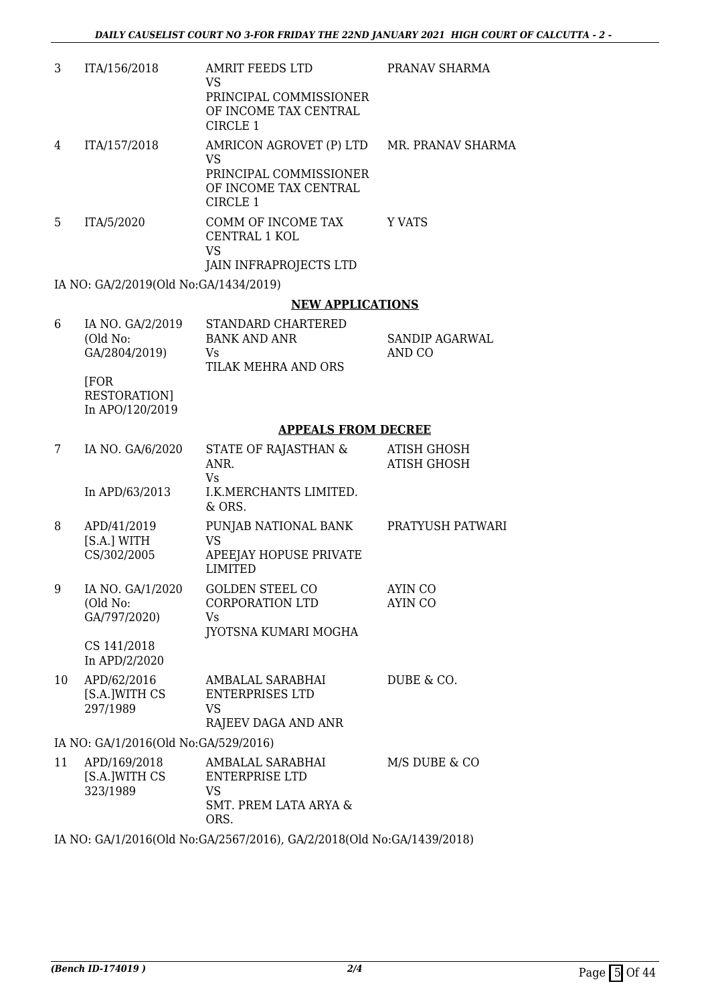| 3  | ITA/156/2018                                  | <b>AMRIT FEEDS LTD</b><br>VS<br>PRINCIPAL COMMISSIONER                                                                | PRANAV SHARMA                            |
|----|-----------------------------------------------|-----------------------------------------------------------------------------------------------------------------------|------------------------------------------|
|    |                                               | OF INCOME TAX CENTRAL<br>CIRCLE 1                                                                                     |                                          |
| 4  | ITA/157/2018                                  | AMRICON AGROVET (P) LTD MR. PRANAV SHARMA<br><b>VS</b><br>PRINCIPAL COMMISSIONER<br>OF INCOME TAX CENTRAL<br>CIRCLE 1 |                                          |
| 5. | ITA/5/2020                                    | COMM OF INCOME TAX<br>CENTRAL 1 KOL<br><b>VS</b>                                                                      | Y VATS                                   |
|    | IA NO: GA/2/2019(Old No:GA/1434/2019)         | JAIN INFRAPROJECTS LTD                                                                                                |                                          |
|    |                                               | <b>NEW APPLICATIONS</b>                                                                                               |                                          |
| 6  | IA NO. GA/2/2019                              | <b>STANDARD CHARTERED</b>                                                                                             |                                          |
|    | (Old No:<br>GA/2804/2019)                     | <b>BANK AND ANR</b><br>Vs<br>TILAK MEHRA AND ORS                                                                      | <b>SANDIP AGARWAL</b><br>AND CO          |
|    | [FOR<br><b>RESTORATION</b><br>In APO/120/2019 |                                                                                                                       |                                          |
|    |                                               | <b>APPEALS FROM DECREE</b>                                                                                            |                                          |
| 7  | IA NO. GA/6/2020                              | STATE OF RAJASTHAN &<br>ANR.<br><b>Vs</b>                                                                             | <b>ATISH GHOSH</b><br><b>ATISH GHOSH</b> |
|    | In APD/63/2013                                | I.K.MERCHANTS LIMITED.<br>$&$ ORS.                                                                                    |                                          |
| 8  | APD/41/2019<br>[S.A.] WITH<br>CS/302/2005     | PUNJAB NATIONAL BANK<br><b>VS</b><br>APEEJAY HOPUSE PRIVATE<br><b>LIMITED</b>                                         | PRATYUSH PATWARI                         |
| 9  | IA NO. GA/1/2020<br>(Old No:<br>GA/797/2020)  | <b>GOLDEN STEEL CO</b><br>CORPORATION LTD<br>Vs.<br>JYOTSNA KUMARI MOGHA                                              | AYIN CO<br><b>AYIN CO</b>                |
|    | CS 141/2018<br>In APD/2/2020                  |                                                                                                                       |                                          |
| 10 | APD/62/2016<br>[S.A.]WITH CS<br>297/1989      | AMBALAL SARABHAI<br><b>ENTERPRISES LTD</b><br><b>VS</b><br>RAJEEV DAGA AND ANR                                        | DUBE & CO.                               |
|    | IA NO: GA/1/2016(Old No:GA/529/2016)          |                                                                                                                       |                                          |
| 11 | APD/169/2018<br>[S.A.]WITH CS<br>323/1989     | AMBALAL SARABHAI<br><b>ENTERPRISE LTD</b><br>VS<br><b>SMT. PREM LATA ARYA &amp;</b><br>ORS.                           | M/S DUBE & CO                            |
|    |                                               | IA NO: GA/1/2016(Old No:GA/2567/2016), GA/2/2018(Old No:GA/1439/2018)                                                 |                                          |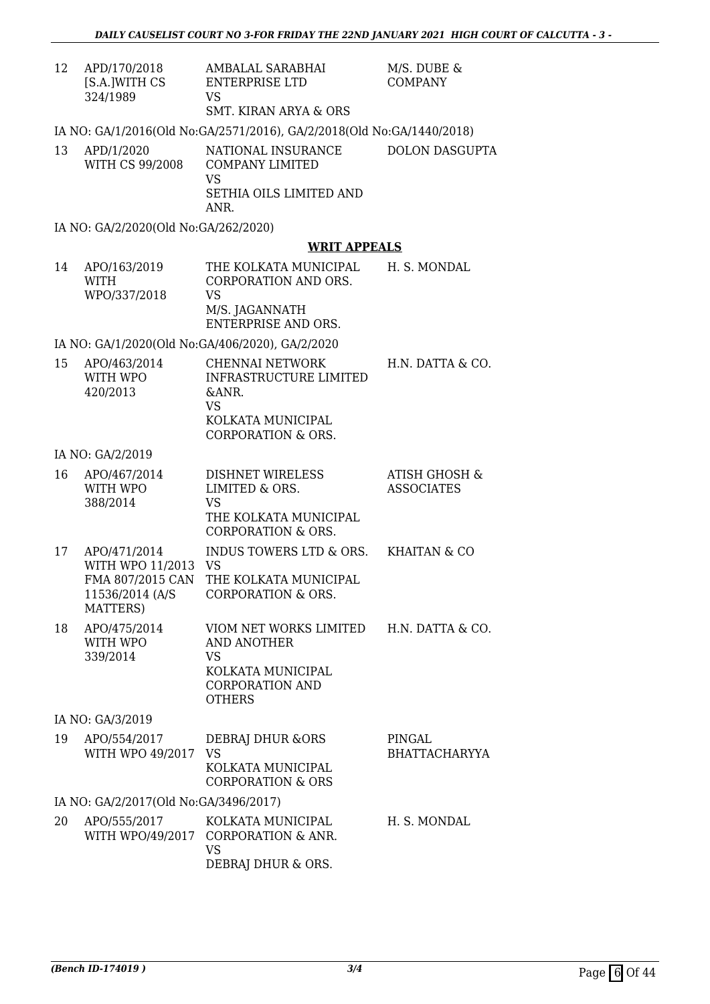| 12 | APD/170/2018<br>[S.A.]WITH CS<br>324/1989                                              | AMBALAL SARABHAI<br>ENTERPRISE LTD<br><b>VS</b><br><b>SMT. KIRAN ARYA &amp; ORS</b>                                          | M/S. DUBE &<br><b>COMPANY</b>                 |
|----|----------------------------------------------------------------------------------------|------------------------------------------------------------------------------------------------------------------------------|-----------------------------------------------|
|    |                                                                                        | IA NO: GA/1/2016(Old No:GA/2571/2016), GA/2/2018(Old No:GA/1440/2018)                                                        |                                               |
| 13 | APD/1/2020<br>WITH CS 99/2008                                                          | NATIONAL INSURANCE<br><b>COMPANY LIMITED</b><br><b>VS</b><br>SETHIA OILS LIMITED AND<br>ANR.                                 | <b>DOLON DASGUPTA</b>                         |
|    | IA NO: GA/2/2020(Old No:GA/262/2020)                                                   |                                                                                                                              |                                               |
|    |                                                                                        | <b>WRIT APPEALS</b>                                                                                                          |                                               |
| 14 | APO/163/2019<br>WITH<br>WPO/337/2018                                                   | THE KOLKATA MUNICIPAL<br>CORPORATION AND ORS.<br><b>VS</b><br>M/S. JAGANNATH<br><b>ENTERPRISE AND ORS.</b>                   | H. S. MONDAL                                  |
|    |                                                                                        | IA NO: GA/1/2020(Old No:GA/406/2020), GA/2/2020                                                                              |                                               |
| 15 | APO/463/2014<br>WITH WPO<br>420/2013                                                   | <b>CHENNAI NETWORK</b><br><b>INFRASTRUCTURE LIMITED</b><br>&ANR.<br>VS<br>KOLKATA MUNICIPAL<br><b>CORPORATION &amp; ORS.</b> | H.N. DATTA & CO.                              |
|    | IA NO: GA/2/2019                                                                       |                                                                                                                              |                                               |
| 16 | APO/467/2014<br>WITH WPO<br>388/2014                                                   | <b>DISHNET WIRELESS</b><br>LIMITED & ORS.<br>VS<br>THE KOLKATA MUNICIPAL<br><b>CORPORATION &amp; ORS.</b>                    | <b>ATISH GHOSH &amp;</b><br><b>ASSOCIATES</b> |
| 17 | APO/471/2014<br>WITH WPO 11/2013 VS<br>FMA 807/2015 CAN<br>11536/2014 (A/S<br>MATTERS) | INDUS TOWERS LTD & ORS.<br>THE KOLKATA MUNICIPAL<br><b>CORPORATION &amp; ORS.</b>                                            | <b>KHAITAN &amp; CO</b>                       |
| 18 | APO/475/2014<br>WITH WPO<br>339/2014                                                   | VIOM NET WORKS LIMITED<br><b>AND ANOTHER</b><br>VS<br>KOLKATA MUNICIPAL<br><b>CORPORATION AND</b><br><b>OTHERS</b>           | H.N. DATTA & CO.                              |
|    | IA NO: GA/3/2019                                                                       |                                                                                                                              |                                               |
|    | 10 $\triangle$ DO IE E 4 IO 0.1 $\overline{7}$                                         | חח $\alpha$ חזוזות זגממיזת                                                                                                   | DIMI $OAT$                                    |

| 19 | APO/554/2017<br>WITH WPO 49/2017      | DEBRAJ DHUR & ORS<br>VS <sub>-</sub><br>KOLKATA MUNICIPAL<br><b>CORPORATION &amp; ORS</b> | PINGAL<br><b>BHATTACHARYYA</b> |
|----|---------------------------------------|-------------------------------------------------------------------------------------------|--------------------------------|
|    | IA NO: GA/2/2017(Old No:GA/3496/2017) |                                                                                           |                                |
| 20 | APO/555/2017                          | KOLKATA MUNICIPAL<br>WITH WPO/49/2017 CORPORATION & ANR.<br>VS<br>DEBRAJ DHUR & ORS.      | H. S. MONDAL                   |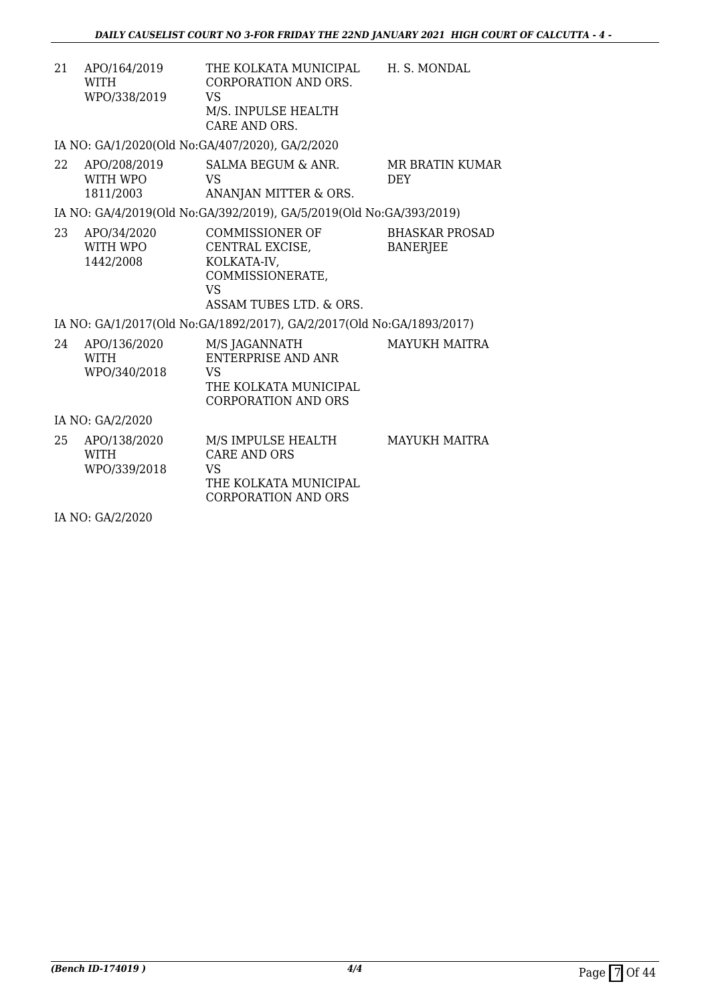H. S. MONDAL

21 APO/164/2019 WITH WPO/338/2019 THE KOLKATA MUNICIPAL CORPORATION AND ORS. VS M/S. INPULSE HEALTH CARE AND ORS.

IA NO: GA/1/2020(Old No:GA/407/2020), GA/2/2020

22 APO/208/2019 WITH WPO 1811/2003 SALMA BEGUM & ANR. VS ANANJAN MITTER & ORS. MR BRATIN KUMAR DEY

IA NO: GA/4/2019(Old No:GA/392/2019), GA/5/2019(Old No:GA/393/2019)

23 APO/34/2020 WITH WPO 1442/2008 COMMISSIONER OF CENTRAL EXCISE, KOLKATA-IV, COMMISSIONERATE, VS ASSAM TUBES LTD. & ORS. BHASKAR PROSAD **BANERIEE** 

IA NO: GA/1/2017(Old No:GA/1892/2017), GA/2/2017(Old No:GA/1893/2017)

24 APO/136/2020 WITH WPO/340/2018 M/S JAGANNATH ENTERPRISE AND ANR VS THE KOLKATA MUNICIPAL CORPORATION AND ORS MAYUKH MAITRA

IA NO: GA/2/2020

25 APO/138/2020 WITH WPO/339/2018 M/S IMPULSE HEALTH CARE AND ORS VS THE KOLKATA MUNICIPAL CORPORATION AND ORS MAYUKH MAITRA

IA NO: GA/2/2020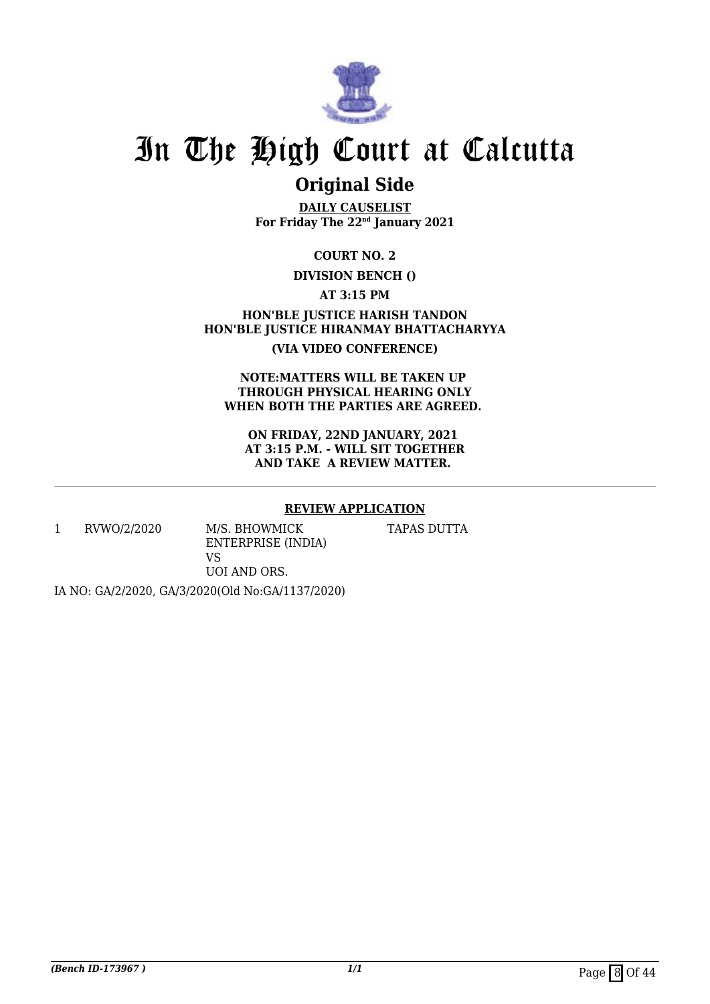

## **Original Side**

**DAILY CAUSELIST For Friday The 22nd January 2021**

**COURT NO. 2**

#### **DIVISION BENCH ()**

**AT 3:15 PM**

**HON'BLE JUSTICE HARISH TANDON HON'BLE JUSTICE HIRANMAY BHATTACHARYYA (VIA VIDEO CONFERENCE)**

**NOTE:MATTERS WILL BE TAKEN UP THROUGH PHYSICAL HEARING ONLY WHEN BOTH THE PARTIES ARE AGREED.** 

**ON FRIDAY, 22ND JANUARY, 2021 AT 3:15 P.M. - WILL SIT TOGETHER AND TAKE A REVIEW MATTER.** 

#### **REVIEW APPLICATION**

TAPAS DUTTA

1 RVWO/2/2020 M/S. BHOWMICK ENTERPRISE (INDIA) VS UOI AND ORS.

IA NO: GA/2/2020, GA/3/2020(Old No:GA/1137/2020)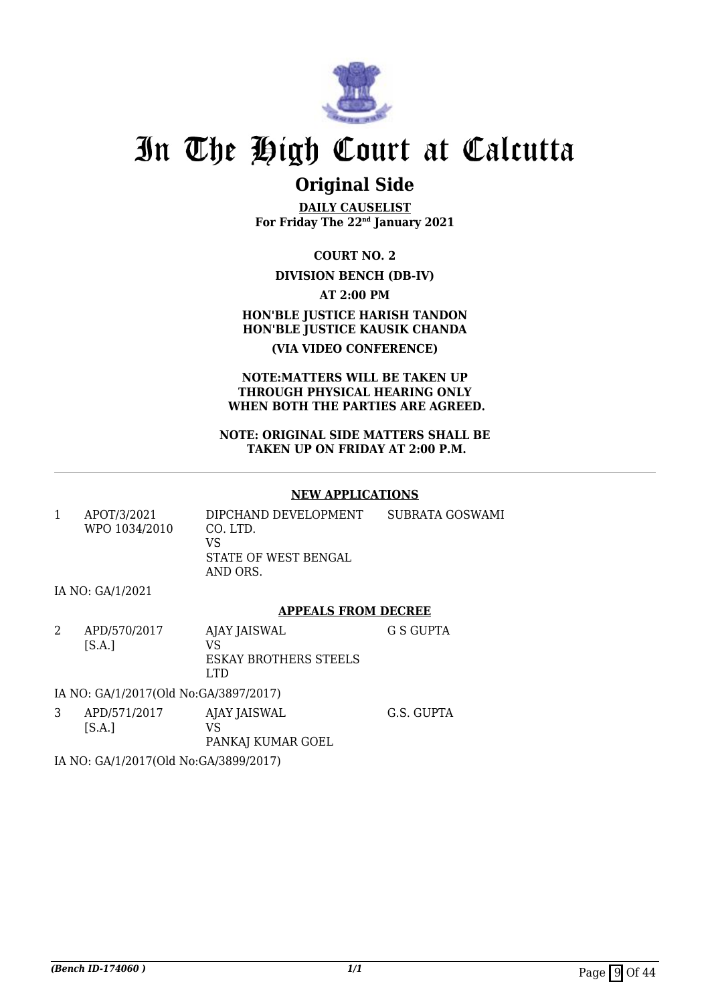

### **Original Side**

**DAILY CAUSELIST For Friday The 22nd January 2021**

**COURT NO. 2**

#### **DIVISION BENCH (DB-IV)**

**AT 2:00 PM**

**HON'BLE JUSTICE HARISH TANDON HON'BLE JUSTICE KAUSIK CHANDA (VIA VIDEO CONFERENCE)**

#### **NOTE:MATTERS WILL BE TAKEN UP THROUGH PHYSICAL HEARING ONLY WHEN BOTH THE PARTIES ARE AGREED.**

#### **NOTE: ORIGINAL SIDE MATTERS SHALL BE TAKEN UP ON FRIDAY AT 2:00 P.M.**

#### **NEW APPLICATIONS**

| APOT/3/2021<br>WPO 1034/2010 | DIPCHAND DEVELOPMENT<br>CO. LTD.<br>VS.<br>STATE OF WEST BENGAL<br>AND ORS. | SUBRATA GOSWAMI |
|------------------------------|-----------------------------------------------------------------------------|-----------------|
|                              |                                                                             |                 |

IA NO: GA/1/2021

#### **APPEALS FROM DECREE**

2 APD/570/2017  $[S.A.]$ AJAY JAISWAL VS ESKAY BROTHERS STEELS LTD G S GUPTA

IA NO: GA/1/2017(Old No:GA/3897/2017)

3 APD/571/2017  $[S.A.]$ AJAY JAISWAL VS PANKAJ KUMAR GOEL

G.S. GUPTA

IA NO: GA/1/2017(Old No:GA/3899/2017)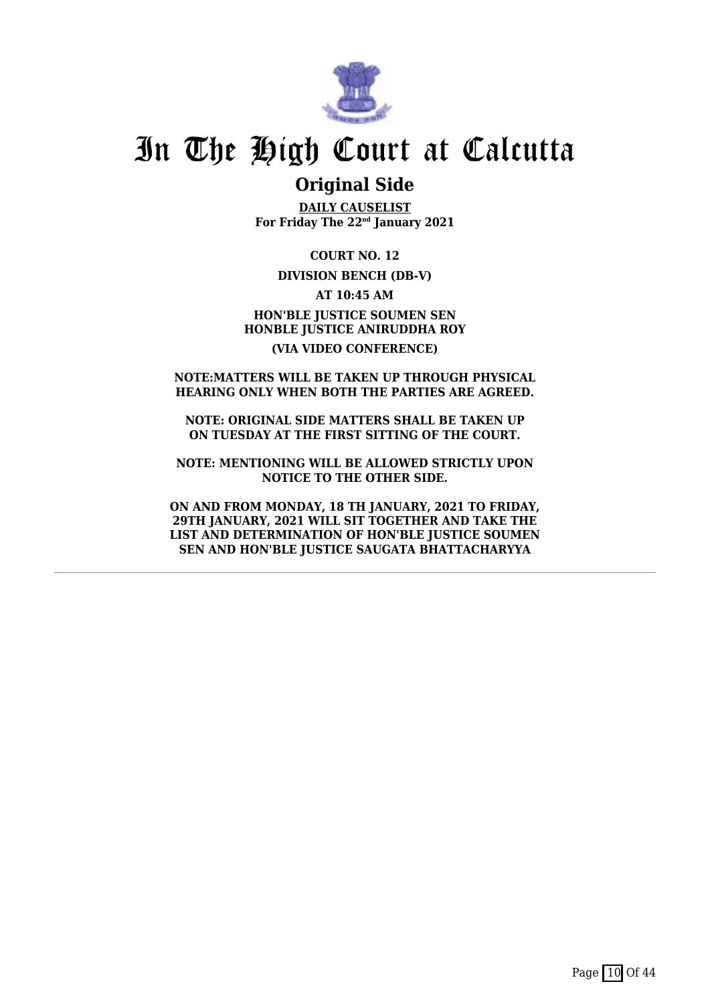

### **Original Side**

**DAILY CAUSELIST For Friday The 22nd January 2021**

**COURT NO. 12**

#### **DIVISION BENCH (DB-V)**

**AT 10:45 AM HON'BLE JUSTICE SOUMEN SEN HONBLE JUSTICE ANIRUDDHA ROY**

#### **(VIA VIDEO CONFERENCE)**

#### **NOTE:MATTERS WILL BE TAKEN UP THROUGH PHYSICAL HEARING ONLY WHEN BOTH THE PARTIES ARE AGREED.**

**NOTE: ORIGINAL SIDE MATTERS SHALL BE TAKEN UP ON TUESDAY AT THE FIRST SITTING OF THE COURT.**

**NOTE: MENTIONING WILL BE ALLOWED STRICTLY UPON NOTICE TO THE OTHER SIDE.**

**ON AND FROM MONDAY, 18 TH JANUARY, 2021 TO FRIDAY, 29TH JANUARY, 2021 WILL SIT TOGETHER AND TAKE THE LIST AND DETERMINATION OF HON'BLE JUSTICE SOUMEN SEN AND HON'BLE JUSTICE SAUGATA BHATTACHARYYA**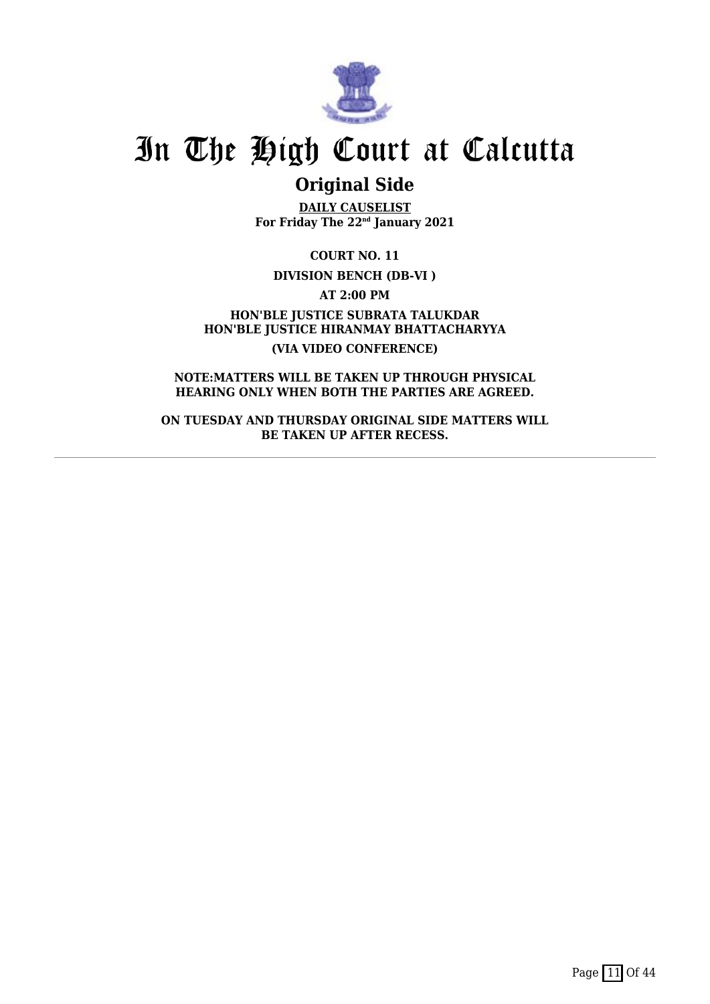

### **Original Side**

**DAILY CAUSELIST For Friday The 22nd January 2021**

**COURT NO. 11**

**DIVISION BENCH (DB-VI )**

**AT 2:00 PM**

**HON'BLE JUSTICE SUBRATA TALUKDAR HON'BLE JUSTICE HIRANMAY BHATTACHARYYA (VIA VIDEO CONFERENCE)**

**NOTE:MATTERS WILL BE TAKEN UP THROUGH PHYSICAL HEARING ONLY WHEN BOTH THE PARTIES ARE AGREED.**

**ON TUESDAY AND THURSDAY ORIGINAL SIDE MATTERS WILL BE TAKEN UP AFTER RECESS.**

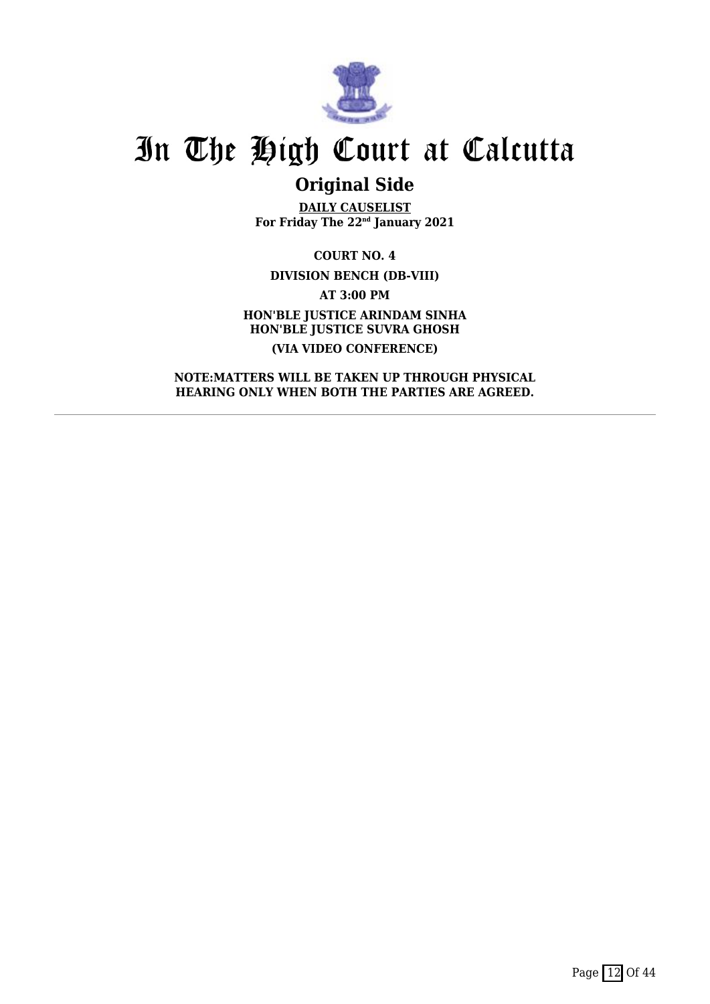

## **Original Side**

**DAILY CAUSELIST For Friday The 22nd January 2021**

**COURT NO. 4 DIVISION BENCH (DB-VIII) AT 3:00 PM HON'BLE JUSTICE ARINDAM SINHA HON'BLE JUSTICE SUVRA GHOSH (VIA VIDEO CONFERENCE)**

**NOTE:MATTERS WILL BE TAKEN UP THROUGH PHYSICAL HEARING ONLY WHEN BOTH THE PARTIES ARE AGREED.**

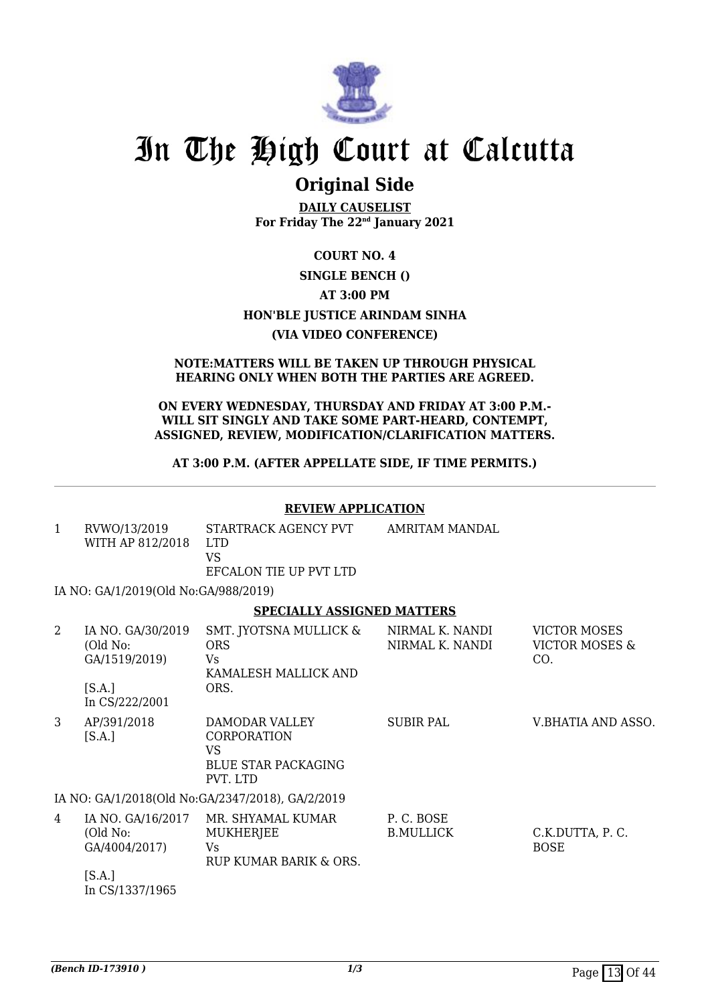

### **Original Side**

**DAILY CAUSELIST For Friday The 22nd January 2021**

### **COURT NO. 4 SINGLE BENCH () AT 3:00 PM HON'BLE JUSTICE ARINDAM SINHA (VIA VIDEO CONFERENCE)**

#### **NOTE:MATTERS WILL BE TAKEN UP THROUGH PHYSICAL HEARING ONLY WHEN BOTH THE PARTIES ARE AGREED.**

#### **ON EVERY WEDNESDAY, THURSDAY AND FRIDAY AT 3:00 P.M.- WILL SIT SINGLY AND TAKE SOME PART-HEARD, CONTEMPT, ASSIGNED, REVIEW, MODIFICATION/CLARIFICATION MATTERS.**

#### **AT 3:00 P.M. (AFTER APPELLATE SIDE, IF TIME PERMITS.)**

#### **REVIEW APPLICATION**

| $\mathbf{1}$ | RVWO/13/2019<br>WITH AP 812/2018                                            | STARTRACK AGENCY PVT<br><b>LTD</b><br><b>VS</b>                                      | <b>AMRITAM MANDAL</b>              |                                                         |
|--------------|-----------------------------------------------------------------------------|--------------------------------------------------------------------------------------|------------------------------------|---------------------------------------------------------|
|              |                                                                             | EFCALON TIE UP PVT LTD                                                               |                                    |                                                         |
|              | IA NO: GA/1/2019(Old No:GA/988/2019)                                        |                                                                                      |                                    |                                                         |
|              |                                                                             | <b>SPECIALLY ASSIGNED MATTERS</b>                                                    |                                    |                                                         |
| 2            | IA NO. GA/30/2019<br>(Old No:<br>GA/1519/2019)                              | SMT. JYOTSNA MULLICK &<br><b>ORS</b><br>Vs<br>KAMALESH MALLICK AND                   | NIRMAL K. NANDI<br>NIRMAL K. NANDI | <b>VICTOR MOSES</b><br><b>VICTOR MOSES &amp;</b><br>CO. |
|              | [S.A.]<br>In CS/222/2001                                                    | ORS.                                                                                 |                                    |                                                         |
| 3            | AP/391/2018<br>[S.A.]                                                       | DAMODAR VALLEY<br>CORPORATION<br><b>VS</b><br><b>BLUE STAR PACKAGING</b><br>PVT. LTD | <b>SUBIR PAL</b>                   | V.BHATIA AND ASSO.                                      |
|              |                                                                             | IA NO: GA/1/2018(Old No:GA/2347/2018), GA/2/2019                                     |                                    |                                                         |
| 4            | IA NO. GA/16/2017<br>(Old No:<br>GA/4004/2017)<br>[S.A.]<br>In CS/1337/1965 | MR. SHYAMAL KUMAR<br><b>MUKHERJEE</b><br>Vs<br>RUP KUMAR BARIK & ORS.                | P.C. BOSE<br><b>B.MULLICK</b>      | C.K.DUTTA, P.C.<br><b>BOSE</b>                          |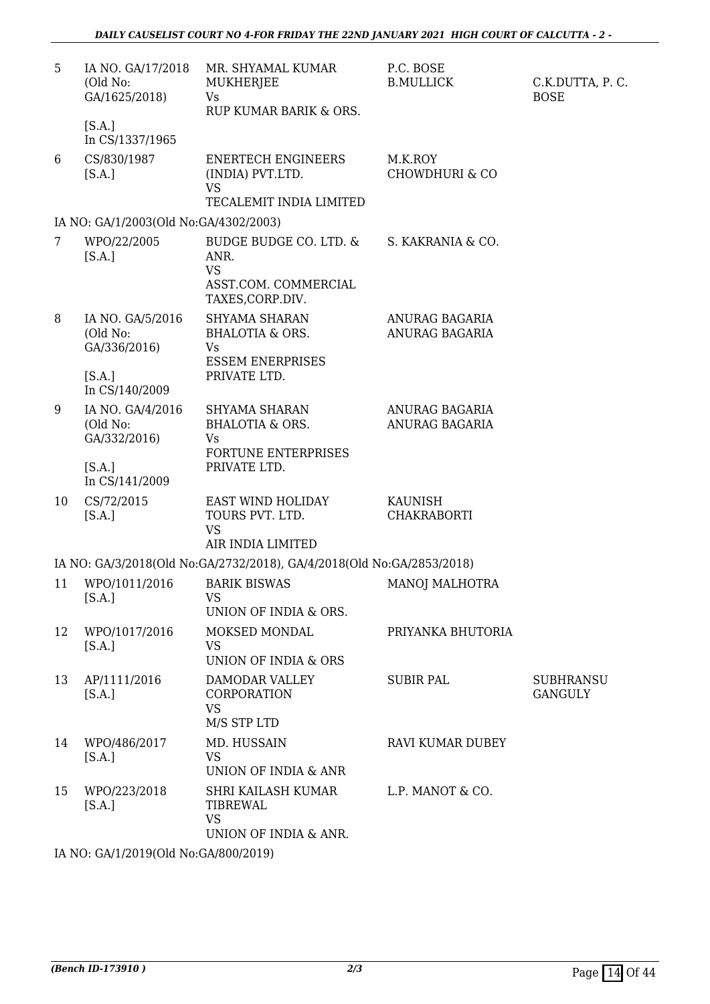| 5              | IA NO. GA/17/2018<br>(Old No:<br>GA/1625/2018)                           | MR. SHYAMAL KUMAR<br>MUKHERJEE<br>Vs<br>RUP KUMAR BARIK & ORS.                                  | P.C. BOSE<br><b>B.MULLICK</b>        | C.K.DUTTA, P.C.<br><b>BOSE</b>     |
|----------------|--------------------------------------------------------------------------|-------------------------------------------------------------------------------------------------|--------------------------------------|------------------------------------|
|                | [S.A.]<br>In CS/1337/1965                                                |                                                                                                 |                                      |                                    |
| 6              | CS/830/1987<br>[S.A.]                                                    | <b>ENERTECH ENGINEERS</b><br>(INDIA) PVT.LTD.<br><b>VS</b><br>TECALEMIT INDIA LIMITED           | M.K.ROY<br><b>CHOWDHURI &amp; CO</b> |                                    |
|                | IA NO: GA/1/2003(Old No:GA/4302/2003)                                    |                                                                                                 |                                      |                                    |
| $7\phantom{.}$ | WPO/22/2005<br>[S.A.]                                                    | BUDGE BUDGE CO. LTD. &<br>ANR.<br><b>VS</b><br>ASST.COM. COMMERCIAL<br>TAXES, CORP.DIV.         | S. KAKRANIA & CO.                    |                                    |
| 8              | IA NO. GA/5/2016<br>(Old No:<br>GA/336/2016)<br>[S.A.]<br>In CS/140/2009 | SHYAMA SHARAN<br>BHALOTIA & ORS.<br><b>Vs</b><br><b>ESSEM ENERPRISES</b><br>PRIVATE LTD.        | ANURAG BAGARIA<br>ANURAG BAGARIA     |                                    |
| 9              | IA NO. GA/4/2016<br>(Old No:<br>GA/332/2016)<br>[S.A.]<br>In CS/141/2009 | SHYAMA SHARAN<br><b>BHALOTIA &amp; ORS.</b><br><b>Vs</b><br>FORTUNE ENTERPRISES<br>PRIVATE LTD. | ANURAG BAGARIA<br>ANURAG BAGARIA     |                                    |
| 10             | CS/72/2015<br>[S.A.]                                                     | EAST WIND HOLIDAY<br>TOURS PVT. LTD.<br><b>VS</b><br>AIR INDIA LIMITED                          | <b>KAUNISH</b><br><b>CHAKRABORTI</b> |                                    |
|                |                                                                          | IA NO: GA/3/2018(Old No:GA/2732/2018), GA/4/2018(Old No:GA/2853/2018)                           |                                      |                                    |
| 11             | WPO/1011/2016<br>[S.A.]                                                  | <b>BARIK BISWAS</b><br><b>VS</b><br>UNION OF INDIA & ORS.                                       | <b>MANOJ MALHOTRA</b>                |                                    |
| 12             | WPO/1017/2016<br>[S.A.]                                                  | MOKSED MONDAL<br><b>VS</b><br>UNION OF INDIA & ORS                                              | PRIYANKA BHUTORIA                    |                                    |
| 13             | AP/1111/2016<br>[S.A.]                                                   | DAMODAR VALLEY<br>CORPORATION<br><b>VS</b><br>M/S STP LTD                                       | <b>SUBIR PAL</b>                     | <b>SUBHRANSU</b><br><b>GANGULY</b> |
| 14             | WPO/486/2017<br>[S.A.]                                                   | MD. HUSSAIN<br><b>VS</b><br>UNION OF INDIA & ANR                                                | <b>RAVI KUMAR DUBEY</b>              |                                    |
| 15             | WPO/223/2018<br>[S.A.]                                                   | SHRI KAILASH KUMAR<br>TIBREWAL<br><b>VS</b><br>UNION OF INDIA & ANR.                            | L.P. MANOT & CO.                     |                                    |

IA NO: GA/1/2019(Old No:GA/800/2019)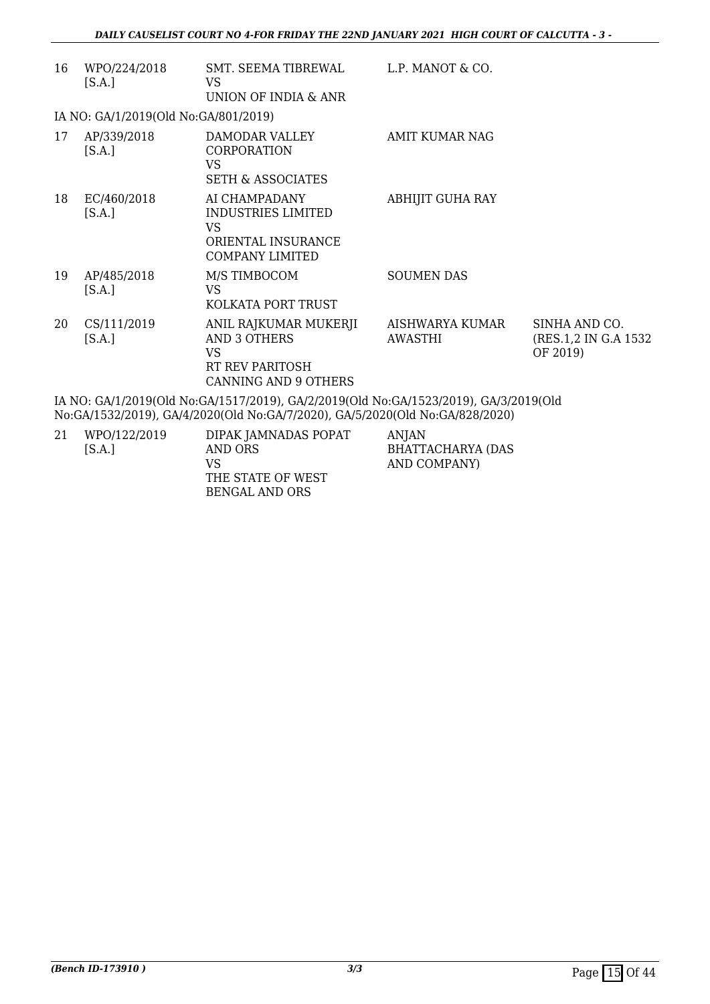| 16 | WPO/224/2018<br>[S.A.]                                                               | SMT. SEEMA TIBREWAL<br>VS.<br>UNION OF INDIA & ANR                                                   | L.P. MANOT & CO.           |                                                    |  |  |
|----|--------------------------------------------------------------------------------------|------------------------------------------------------------------------------------------------------|----------------------------|----------------------------------------------------|--|--|
|    | IA NO: GA/1/2019(Old No:GA/801/2019)                                                 |                                                                                                      |                            |                                                    |  |  |
| 17 | AP/339/2018<br>[S.A.]                                                                | DAMODAR VALLEY<br><b>CORPORATION</b><br><b>VS</b><br><b>SETH &amp; ASSOCIATES</b>                    | <b>AMIT KUMAR NAG</b>      |                                                    |  |  |
| 18 | EC/460/2018<br>[S.A.]                                                                | AI CHAMPADANY<br>INDUSTRIES LIMITED<br><b>VS</b><br>ORIENTAL INSURANCE<br><b>COMPANY LIMITED</b>     | <b>ABHIJIT GUHA RAY</b>    |                                                    |  |  |
| 19 | AP/485/2018<br>[S.A.]                                                                | M/S TIMBOCOM<br><b>VS</b><br>KOLKATA PORT TRUST                                                      | <b>SOUMEN DAS</b>          |                                                    |  |  |
| 20 | CS/111/2019<br>[S.A.]                                                                | ANIL RAJKUMAR MUKERJI<br>AND 3 OTHERS<br><b>VS</b><br>RT REV PARITOSH<br><b>CANNING AND 9 OTHERS</b> | AISHWARYA KUMAR<br>AWASTHI | SINHA AND CO.<br>(RES.1,2 IN G.A 1532)<br>OF 2019) |  |  |
|    | IA NO: GA/1/2019(Old No:GA/1517/2019), GA/2/2019(Old No:GA/1523/2019), GA/3/2019(Old |                                                                                                      |                            |                                                    |  |  |

No:GA/1532/2019), GA/4/2020(Old No:GA/7/2020), GA/5/2020(Old No:GA/828/2020)

| 21 | WPO/122/2019 | DIPAK JAMNADAS POPAT | ANJAN                    |
|----|--------------|----------------------|--------------------------|
|    | [S.A.]       | AND ORS              | <b>BHATTACHARYA (DAS</b> |
|    |              | VS.                  | AND COMPANY)             |
|    |              | THE STATE OF WEST    |                          |
|    |              | BENGAL AND ORS       |                          |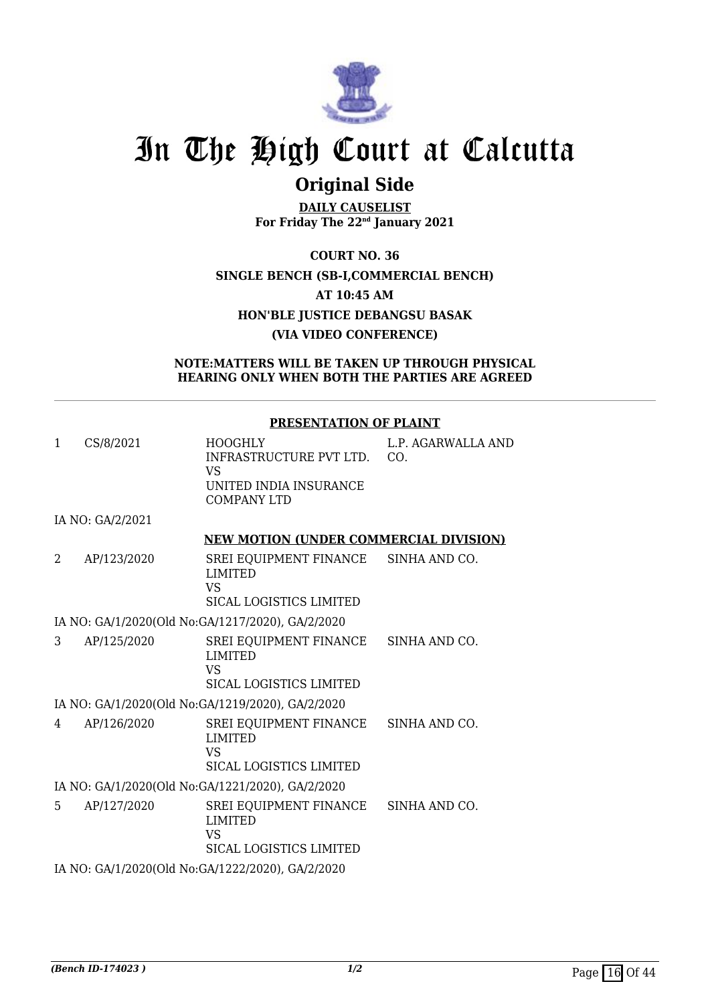

## **Original Side**

**DAILY CAUSELIST For Friday The 22nd January 2021**

**COURT NO. 36 SINGLE BENCH (SB-I,COMMERCIAL BENCH) AT 10:45 AM HON'BLE JUSTICE DEBANGSU BASAK (VIA VIDEO CONFERENCE)**

#### **NOTE:MATTERS WILL BE TAKEN UP THROUGH PHYSICAL HEARING ONLY WHEN BOTH THE PARTIES ARE AGREED**

#### **PRESENTATION OF PLAINT**

| CS/8/2021 | HOOGHLY                 | L.P. AGARWALLA AND |
|-----------|-------------------------|--------------------|
|           | INFRASTRUCTURE PVT LTD. | C()                |
|           | VS.                     |                    |
|           | UNITED INDIA INSURANCE  |                    |
|           | COMPANY LTD             |                    |

IA NO: GA/2/2021

#### **NEW MOTION (UNDER COMMERCIAL DIVISION)**

| AP/123/2020 | SREI EQUIPMENT FINANCE SINHA AND CO.<br>LIMITED |  |
|-------------|-------------------------------------------------|--|
|             | VS<br>SICAL LOGISTICS LIMITED                   |  |

#### IA NO: GA/1/2020(Old No:GA/1217/2020), GA/2/2020

3 AP/125/2020 SREI EQUIPMENT FINANCE LIMITED VS SICAL LOGISTICS LIMITED SINHA AND CO.

IA NO: GA/1/2020(Old No:GA/1219/2020), GA/2/2020

- 4 AP/126/2020 SREI EQUIPMENT FINANCE LIMITED VS SICAL LOGISTICS LIMITED SINHA AND CO.
- IA NO: GA/1/2020(Old No:GA/1221/2020), GA/2/2020
- 5 AP/127/2020 SREI EQUIPMENT FINANCE LIMITED VS SICAL LOGISTICS LIMITED SINHA AND CO. IA NO: GA/1/2020(Old No:GA/1222/2020), GA/2/2020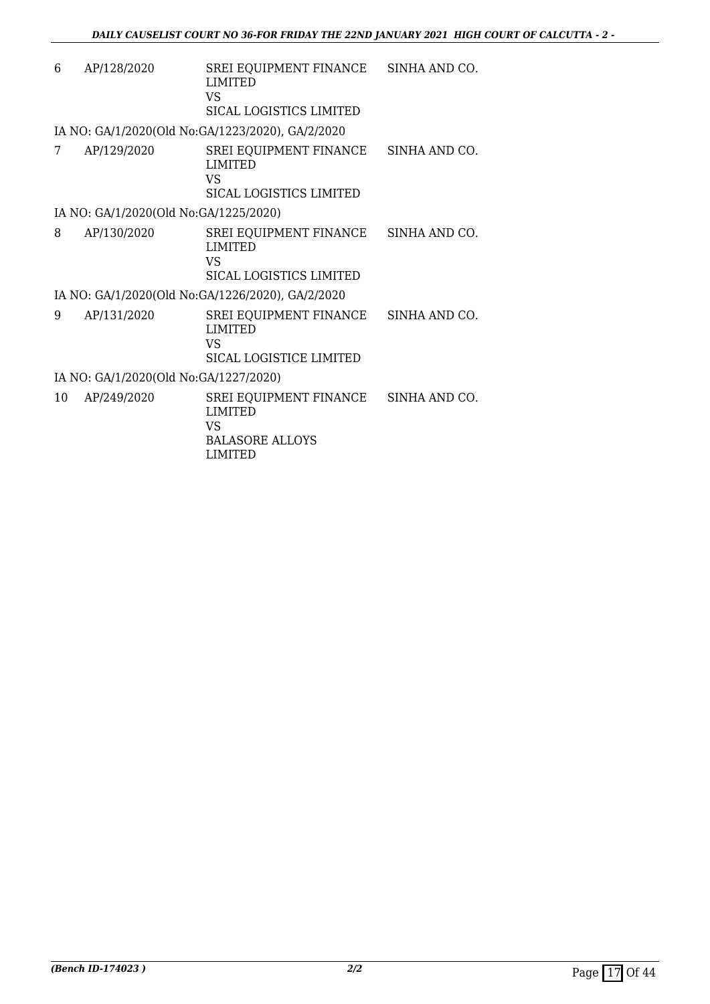| 6  | AP/128/2020                           | SREI EQUIPMENT FINANCE SINHA AND CO.<br><b>LIMITED</b><br><b>VS</b><br><b>SICAL LOGISTICS LIMITED</b> |               |
|----|---------------------------------------|-------------------------------------------------------------------------------------------------------|---------------|
|    |                                       | IA NO: GA/1/2020(Old No:GA/1223/2020), GA/2/2020                                                      |               |
| 7  | AP/129/2020                           | SREI EQUIPMENT FINANCE SINHA AND CO.<br><b>LIMITED</b><br><b>VS</b><br>SICAL LOGISTICS LIMITED        |               |
|    | IA NO: GA/1/2020(Old No:GA/1225/2020) |                                                                                                       |               |
| 8  | AP/130/2020                           | SREI EQUIPMENT FINANCE SINHA AND CO.<br><b>LIMITED</b><br>VS<br>SICAL LOGISTICS LIMITED               |               |
|    |                                       | IA NO: GA/1/2020(Old No:GA/1226/2020), GA/2/2020                                                      |               |
| 9  | AP/131/2020                           | SREI EQUIPMENT FINANCE<br><b>LIMITED</b><br>VS <sub>1</sub><br>SICAL LOGISTICE LIMITED                | SINHA AND CO. |
|    | IA NO: GA/1/2020(Old No:GA/1227/2020) |                                                                                                       |               |
| 10 | AP/249/2020                           | SREI EQUIPMENT FINANCE SINHA AND CO.<br><b>LIMITED</b><br>VS                                          |               |

BALASORE ALLOYS LIMITED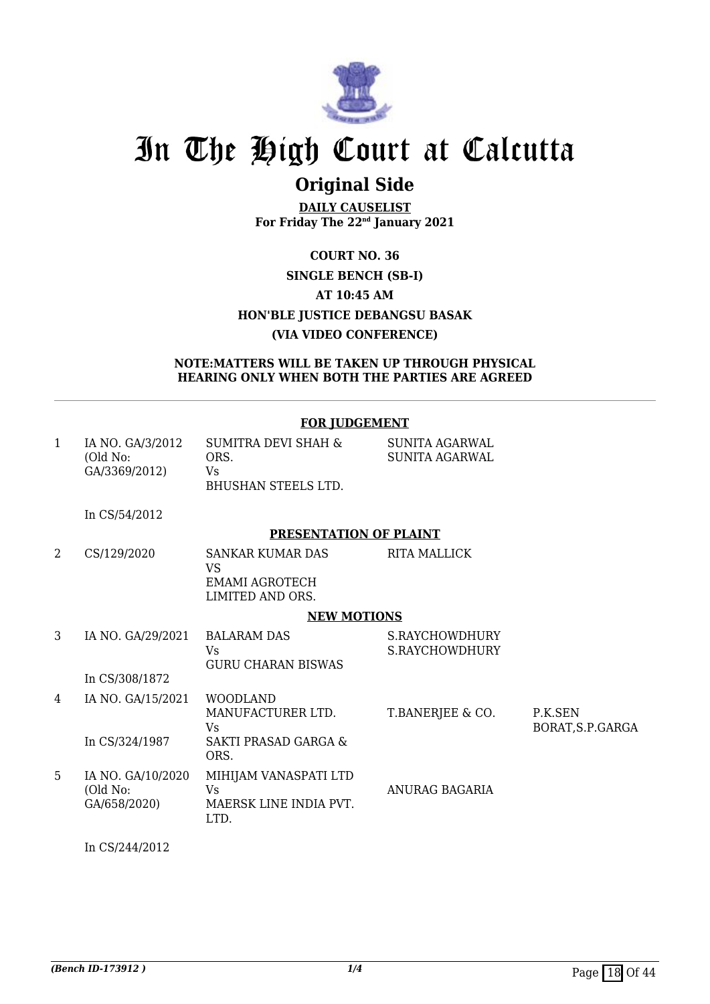

## **Original Side**

**DAILY CAUSELIST For Friday The 22nd January 2021**

### **COURT NO. 36 SINGLE BENCH (SB-I) AT 10:45 AM HON'BLE JUSTICE DEBANGSU BASAK (VIA VIDEO CONFERENCE)**

#### **NOTE:MATTERS WILL BE TAKEN UP THROUGH PHYSICAL HEARING ONLY WHEN BOTH THE PARTIES ARE AGREED**

|              |                                               | <b>FOR JUDGEMENT</b>                                                                         |                                                |                              |
|--------------|-----------------------------------------------|----------------------------------------------------------------------------------------------|------------------------------------------------|------------------------------|
| $\mathbf{1}$ | IA NO. GA/3/2012<br>(Old No:<br>GA/3369/2012) | <b>SUMITRA DEVI SHAH &amp;</b><br>ORS.<br>Vs<br><b>BHUSHAN STEELS LTD.</b>                   | <b>SUNITA AGARWAL</b><br><b>SUNITA AGARWAL</b> |                              |
|              | In CS/54/2012                                 |                                                                                              |                                                |                              |
|              |                                               | PRESENTATION OF PLAINT                                                                       |                                                |                              |
| 2            | CS/129/2020                                   | <b>SANKAR KUMAR DAS</b><br>VS.<br><b>EMAMI AGROTECH</b><br>LIMITED AND ORS.                  | <b>RITA MALLICK</b>                            |                              |
|              |                                               | <b>NEW MOTIONS</b>                                                                           |                                                |                              |
| 3            | IA NO. GA/29/2021<br>In CS/308/1872           | <b>BALARAM DAS</b><br>Vs<br><b>GURU CHARAN BISWAS</b>                                        | S.RAYCHOWDHURY<br>S.RAYCHOWDHURY               |                              |
| 4            | IA NO. GA/15/2021<br>In CS/324/1987           | <b>WOODLAND</b><br>MANUFACTURER LTD.<br><b>Vs</b><br><b>SAKTI PRASAD GARGA &amp;</b><br>ORS. | T.BANERJEE & CO.                               | P.K.SEN<br>BORAT, S.P. GARGA |
| 5            | IA NO. GA/10/2020<br>(Old No:<br>GA/658/2020) | MIHIJAM VANASPATI LTD<br><b>Vs</b><br>MAERSK LINE INDIA PVT.<br>LTD.                         | ANURAG BAGARIA                                 |                              |

In CS/244/2012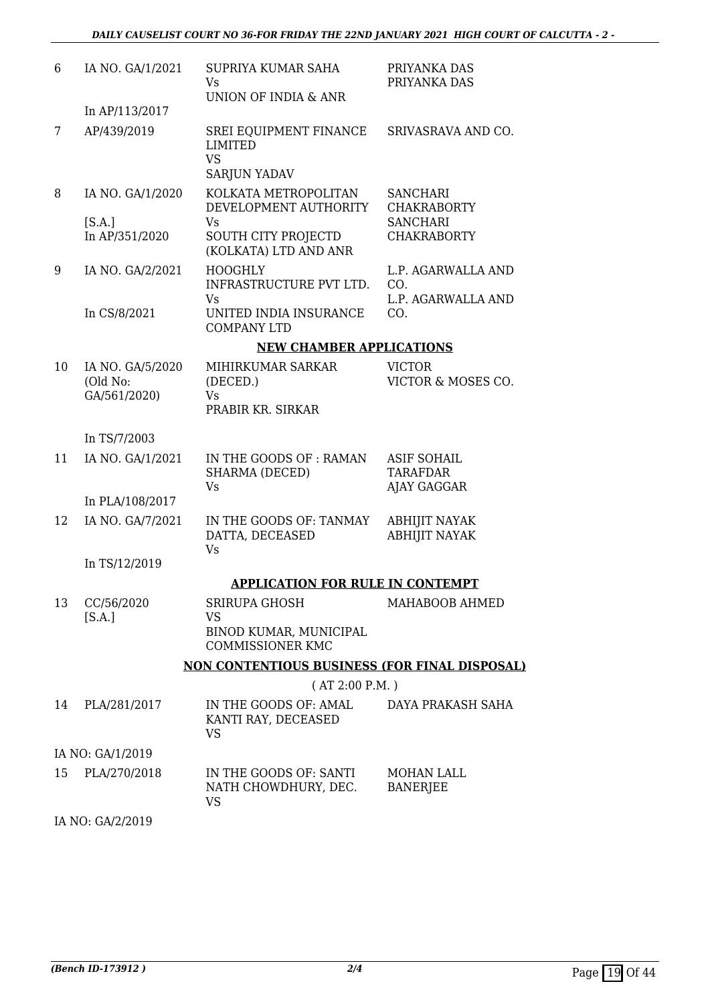| 6  | IA NO. GA/1/2021                             | SUPRIYA KUMAR SAHA<br>Vs                                                                            | PRIYANKA DAS<br>PRIYANKA DAS                                                   |
|----|----------------------------------------------|-----------------------------------------------------------------------------------------------------|--------------------------------------------------------------------------------|
|    | In AP/113/2017                               | UNION OF INDIA & ANR                                                                                |                                                                                |
| 7  | AP/439/2019                                  | SREI EQUIPMENT FINANCE<br><b>LIMITED</b><br><b>VS</b><br><b>SARJUN YADAV</b>                        | SRIVASRAVA AND CO.                                                             |
| 8  | IA NO. GA/1/2020<br>[S.A.]<br>In AP/351/2020 | KOLKATA METROPOLITAN<br>DEVELOPMENT AUTHORITY<br>Vs<br>SOUTH CITY PROJECTD<br>(KOLKATA) LTD AND ANR | <b>SANCHARI</b><br><b>CHAKRABORTY</b><br><b>SANCHARI</b><br><b>CHAKRABORTY</b> |
| 9  | IA NO. GA/2/2021                             | <b>HOOGHLY</b><br>INFRASTRUCTURE PVT LTD.<br><b>Vs</b>                                              | L.P. AGARWALLA AND<br>CO.<br>L.P. AGARWALLA AND                                |
|    | In CS/8/2021                                 | UNITED INDIA INSURANCE<br><b>COMPANY LTD</b>                                                        | CO.                                                                            |
|    |                                              | <b>NEW CHAMBER APPLICATIONS</b>                                                                     |                                                                                |
| 10 | IA NO. GA/5/2020<br>(Old No:<br>GA/561/2020) | MIHIRKUMAR SARKAR<br>(DECED.)<br>Vs<br>PRABIR KR. SIRKAR                                            | <b>VICTOR</b><br>VICTOR & MOSES CO.                                            |
|    | In TS/7/2003                                 |                                                                                                     |                                                                                |
| 11 | IA NO. GA/1/2021                             | IN THE GOODS OF : RAMAN<br>SHARMA (DECED)<br><b>Vs</b>                                              | <b>ASIF SOHAIL</b><br><b>TARAFDAR</b><br>AJAY GAGGAR                           |
|    | In PLA/108/2017                              |                                                                                                     |                                                                                |
| 12 | IA NO. GA/7/2021                             | IN THE GOODS OF: TANMAY<br>DATTA, DECEASED<br><b>Vs</b>                                             | <b>ABHIJIT NAYAK</b><br><b>ABHIJIT NAYAK</b>                                   |
|    | In TS/12/2019                                |                                                                                                     |                                                                                |
|    |                                              | <b>APPLICATION FOR RULE IN CONTEMPT</b>                                                             |                                                                                |
| 13 | CC/56/2020<br>[S.A.]                         | SRIRUPA GHOSH<br>VS<br>BINOD KUMAR, MUNICIPAL                                                       | MAHABOOB AHMED                                                                 |
|    |                                              | <b>COMMISSIONER KMC</b>                                                                             |                                                                                |
|    |                                              | <u>NON CONTENTIOUS BUSINESS (FOR FINAL DISPOSAL)</u>                                                |                                                                                |
|    |                                              | (AT 2:00 P.M.)                                                                                      |                                                                                |
| 14 | PLA/281/2017                                 | IN THE GOODS OF: AMAL<br>KANTI RAY, DECEASED<br><b>VS</b>                                           | DAYA PRAKASH SAHA                                                              |
|    | IA NO: GA/1/2019                             |                                                                                                     |                                                                                |
| 15 | PLA/270/2018                                 | IN THE GOODS OF: SANTI<br>NATH CHOWDHURY, DEC.<br>VS                                                | MOHAN LALL<br><b>BANERJEE</b>                                                  |

IA NO: GA/2/2019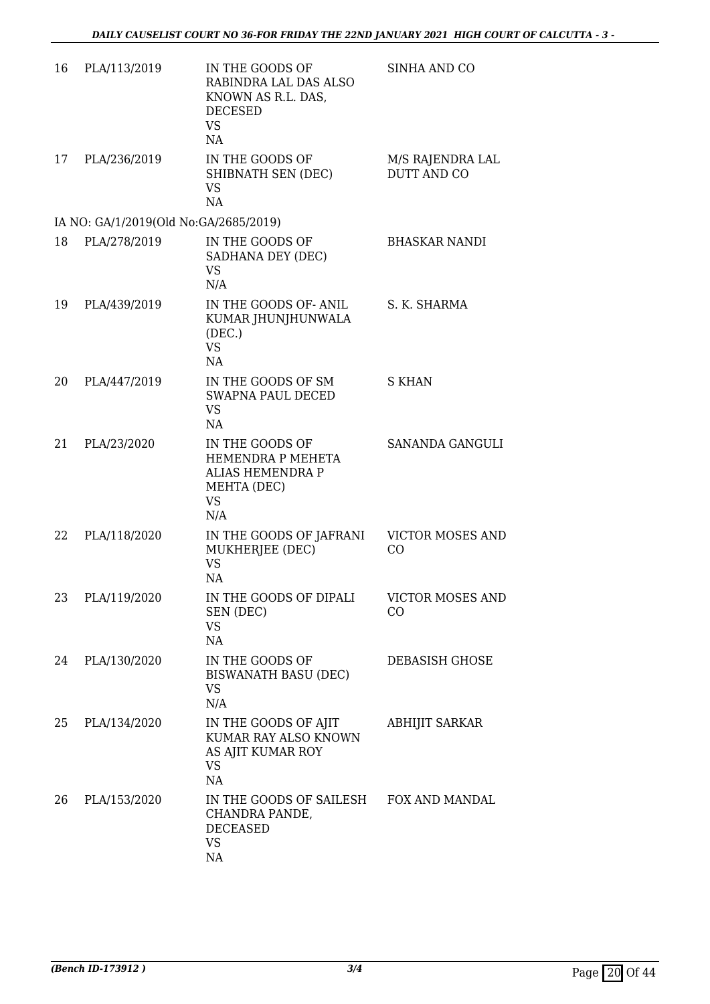| 16 | PLA/113/2019                          | IN THE GOODS OF<br>RABINDRA LAL DAS ALSO<br>KNOWN AS R.L. DAS,<br><b>DECESED</b><br><b>VS</b><br>NA | SINHA AND CO                           |
|----|---------------------------------------|-----------------------------------------------------------------------------------------------------|----------------------------------------|
| 17 | PLA/236/2019                          | IN THE GOODS OF<br>SHIBNATH SEN (DEC)<br><b>VS</b><br>NA                                            | M/S RAJENDRA LAL<br><b>DUTT AND CO</b> |
|    | IA NO: GA/1/2019(Old No:GA/2685/2019) |                                                                                                     |                                        |
| 18 | PLA/278/2019                          | IN THE GOODS OF<br>SADHANA DEY (DEC)<br><b>VS</b><br>N/A                                            | <b>BHASKAR NANDI</b>                   |
| 19 | PLA/439/2019                          | IN THE GOODS OF-ANIL<br>KUMAR JHUNJHUNWALA<br>(DEC.)<br><b>VS</b><br>NA                             | S. K. SHARMA                           |
| 20 | PLA/447/2019                          | IN THE GOODS OF SM<br><b>SWAPNA PAUL DECED</b><br><b>VS</b><br>NA                                   | <b>S KHAN</b>                          |
| 21 | PLA/23/2020                           | IN THE GOODS OF<br>HEMENDRA P MEHETA<br><b>ALIAS HEMENDRA P</b><br>MEHTA (DEC)<br><b>VS</b><br>N/A  | SANANDA GANGULI                        |
| 22 | PLA/118/2020                          | IN THE GOODS OF JAFRANI<br>MUKHERJEE (DEC)<br><b>VS</b><br>NA                                       | <b>VICTOR MOSES AND</b><br>CO          |
| 23 | PLA/119/2020                          | IN THE GOODS OF DIPALI<br>SEN (DEC)<br><b>VS</b><br>NA                                              | <b>VICTOR MOSES AND</b><br>CO.         |
| 24 | PLA/130/2020                          | IN THE GOODS OF<br>BISWANATH BASU (DEC)<br><b>VS</b><br>N/A                                         | DEBASISH GHOSE                         |
| 25 | PLA/134/2020                          | IN THE GOODS OF AJIT<br>KUMAR RAY ALSO KNOWN<br>AS AJIT KUMAR ROY<br><b>VS</b><br>NA                | ABHIJIT SARKAR                         |
| 26 | PLA/153/2020                          | IN THE GOODS OF SAILESH<br>CHANDRA PANDE,<br><b>DECEASED</b><br><b>VS</b><br>NA                     | FOX AND MANDAL                         |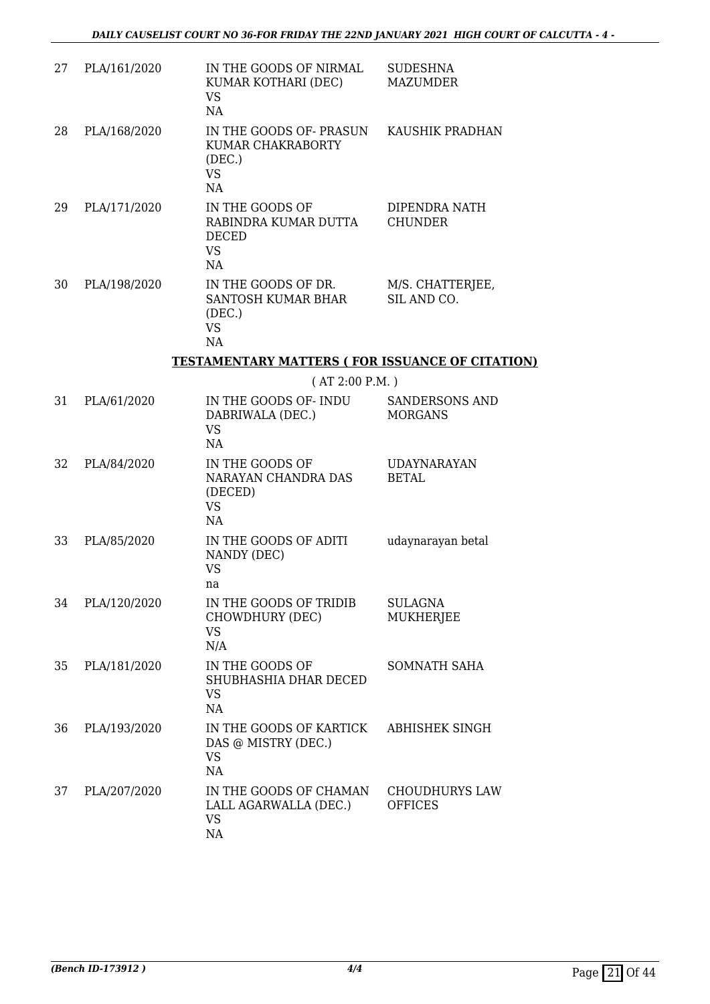| 27 | PLA/161/2020 | IN THE GOODS OF NIRMAL<br>KUMAR KOTHARI (DEC)<br><b>VS</b><br>NA           | <b>SUDESHNA</b><br><b>MAZUMDER</b>      |
|----|--------------|----------------------------------------------------------------------------|-----------------------------------------|
| 28 | PLA/168/2020 | IN THE GOODS OF- PRASUN<br>KUMAR CHAKRABORTY<br>(DEC.)<br><b>VS</b><br>NA  | KAUSHIK PRADHAN                         |
| 29 | PLA/171/2020 | IN THE GOODS OF<br>RABINDRA KUMAR DUTTA<br><b>DECED</b><br><b>VS</b><br>NA | DIPENDRA NATH<br><b>CHUNDER</b>         |
| 30 | PLA/198/2020 | IN THE GOODS OF DR.<br>SANTOSH KUMAR BHAR<br>(DEC.)<br><b>VS</b><br>NA     | M/S. CHATTERJEE,<br>SIL AND CO.         |
|    |              | <b>TESTAMENTARY MATTERS ( FOR ISSUANCE OF CITATION)</b>                    |                                         |
|    |              | (AT 2:00 P.M. )                                                            |                                         |
| 31 | PLA/61/2020  | IN THE GOODS OF-INDU<br>DABRIWALA (DEC.)<br><b>VS</b><br>NA                | <b>SANDERSONS AND</b><br><b>MORGANS</b> |
| 32 | PLA/84/2020  | IN THE GOODS OF<br>NARAYAN CHANDRA DAS<br>(DECED)<br><b>VS</b><br>NA       | <b>UDAYNARAYAN</b><br><b>BETAL</b>      |
| 33 | PLA/85/2020  | IN THE GOODS OF ADITI<br>NANDY (DEC)<br><b>VS</b><br>na                    | udaynarayan betal                       |
| 34 | PLA/120/2020 | IN THE GOODS OF TRIDIB<br>CHOWDHURY (DEC)<br>VS.<br>N/A                    | <b>SULAGNA</b><br><b>MUKHERJEE</b>      |
| 35 | PLA/181/2020 | IN THE GOODS OF<br>SHUBHASHIA DHAR DECED<br><b>VS</b><br>NA                | <b>SOMNATH SAHA</b>                     |
| 36 | PLA/193/2020 | IN THE GOODS OF KARTICK<br>DAS @ MISTRY (DEC.)<br>VS<br>NA                 | ABHISHEK SINGH                          |
| 37 | PLA/207/2020 | IN THE GOODS OF CHAMAN<br>LALL AGARWALLA (DEC.)<br><b>VS</b><br>NA         | <b>CHOUDHURYS LAW</b><br><b>OFFICES</b> |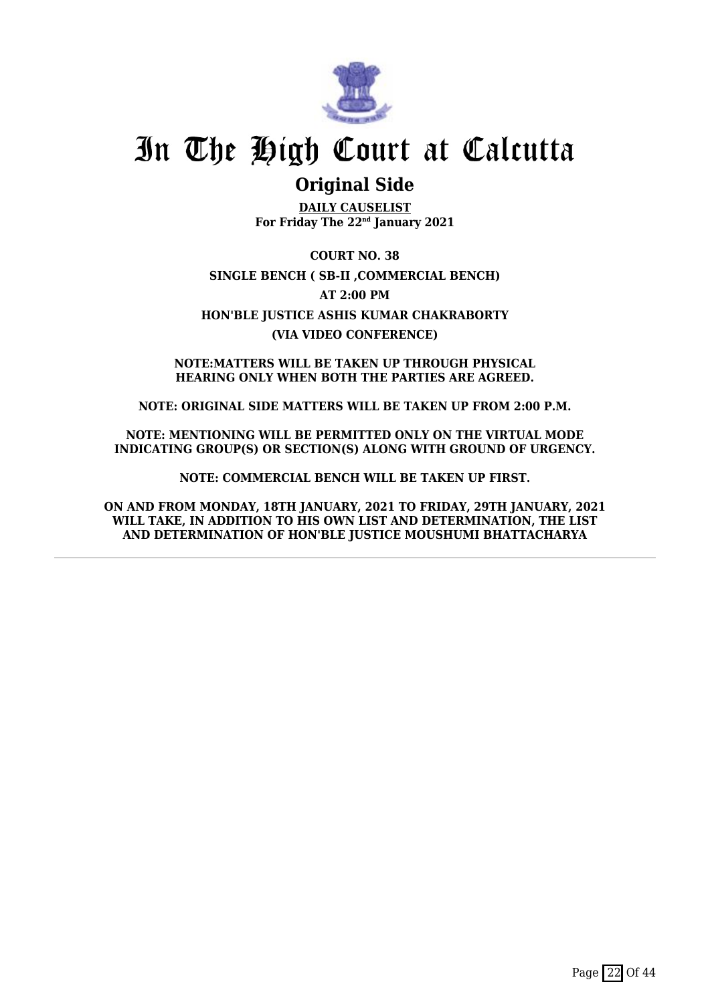

### **Original Side**

**DAILY CAUSELIST For Friday The 22nd January 2021**

**COURT NO. 38 SINGLE BENCH ( SB-II ,COMMERCIAL BENCH) AT 2:00 PM HON'BLE JUSTICE ASHIS KUMAR CHAKRABORTY (VIA VIDEO CONFERENCE)**

**NOTE:MATTERS WILL BE TAKEN UP THROUGH PHYSICAL HEARING ONLY WHEN BOTH THE PARTIES ARE AGREED.**

**NOTE: ORIGINAL SIDE MATTERS WILL BE TAKEN UP FROM 2:00 P.M.**

**NOTE: MENTIONING WILL BE PERMITTED ONLY ON THE VIRTUAL MODE INDICATING GROUP(S) OR SECTION(S) ALONG WITH GROUND OF URGENCY.**

**NOTE: COMMERCIAL BENCH WILL BE TAKEN UP FIRST.**

**ON AND FROM MONDAY, 18TH JANUARY, 2021 TO FRIDAY, 29TH JANUARY, 2021 WILL TAKE, IN ADDITION TO HIS OWN LIST AND DETERMINATION, THE LIST AND DETERMINATION OF HON'BLE JUSTICE MOUSHUMI BHATTACHARYA**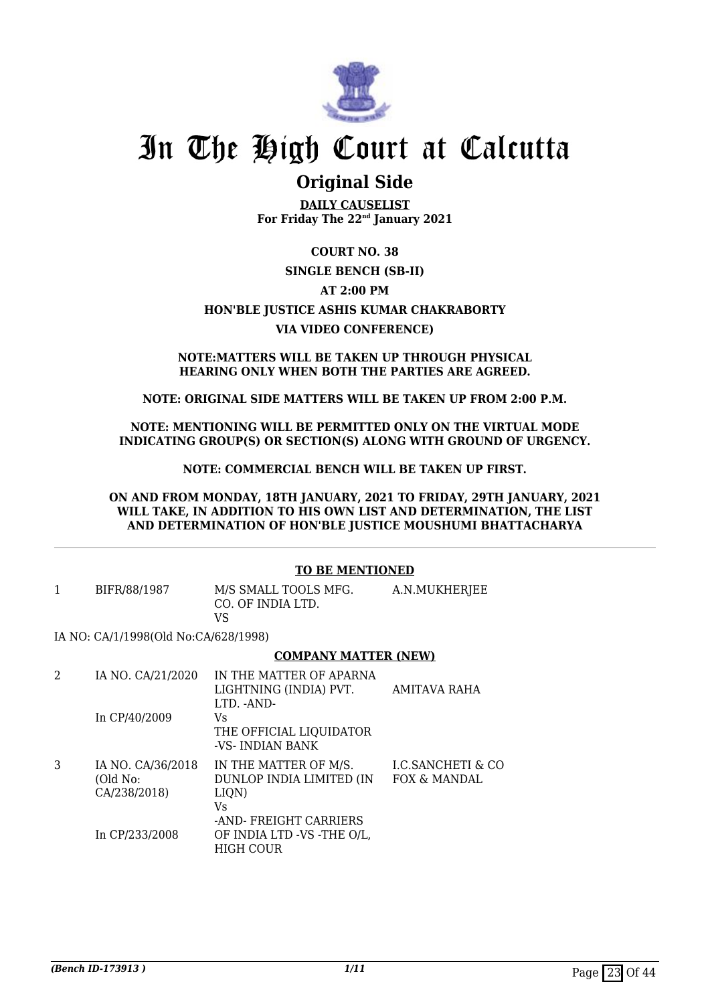

### **Original Side**

**DAILY CAUSELIST For Friday The 22nd January 2021**

#### **COURT NO. 38**

### **SINGLE BENCH (SB-II) AT 2:00 PM HON'BLE JUSTICE ASHIS KUMAR CHAKRABORTY VIA VIDEO CONFERENCE)**

#### **NOTE:MATTERS WILL BE TAKEN UP THROUGH PHYSICAL HEARING ONLY WHEN BOTH THE PARTIES ARE AGREED.**

#### **NOTE: ORIGINAL SIDE MATTERS WILL BE TAKEN UP FROM 2:00 P.M.**

#### **NOTE: MENTIONING WILL BE PERMITTED ONLY ON THE VIRTUAL MODE INDICATING GROUP(S) OR SECTION(S) ALONG WITH GROUND OF URGENCY.**

#### **NOTE: COMMERCIAL BENCH WILL BE TAKEN UP FIRST.**

#### **ON AND FROM MONDAY, 18TH JANUARY, 2021 TO FRIDAY, 29TH JANUARY, 2021 WILL TAKE, IN ADDITION TO HIS OWN LIST AND DETERMINATION, THE LIST AND DETERMINATION OF HON'BLE JUSTICE MOUSHUMI BHATTACHARYA**

#### **TO BE MENTIONED**

| BIFR/88/1987 | M/S SMALL TOOLS MFG. | A.N.MUKHERJEE |
|--------------|----------------------|---------------|
|              | CO. OF INDIA LTD.    |               |
|              | VS                   |               |

IA NO: CA/1/1998(Old No:CA/628/1998)

#### **COMPANY MATTER (NEW)**

| 2 | IA NO. CA/21/2020                             | IN THE MATTER OF APARNA<br>LIGHTNING (INDIA) PVT.<br>LTD. -AND-                           | AMITAVA RAHA                                 |
|---|-----------------------------------------------|-------------------------------------------------------------------------------------------|----------------------------------------------|
|   | In $CP/40/2009$                               | Vs.<br>THE OFFICIAL LIQUIDATOR<br>-VS-INDIAN BANK                                         |                                              |
| 3 | IA NO. CA/36/2018<br>(Old No:<br>CA/238/2018) | IN THE MATTER OF M/S.<br>DUNLOP INDIA LIMITED (IN<br>LIQN)<br>Vs<br>-AND-FREIGHT CARRIERS | <b>I.C.SANCHETI &amp; CO</b><br>FOX & MANDAL |
|   | In CP/233/2008                                | OF INDIA LTD -VS -THE O/L,<br><b>HIGH COUR</b>                                            |                                              |
|   |                                               |                                                                                           |                                              |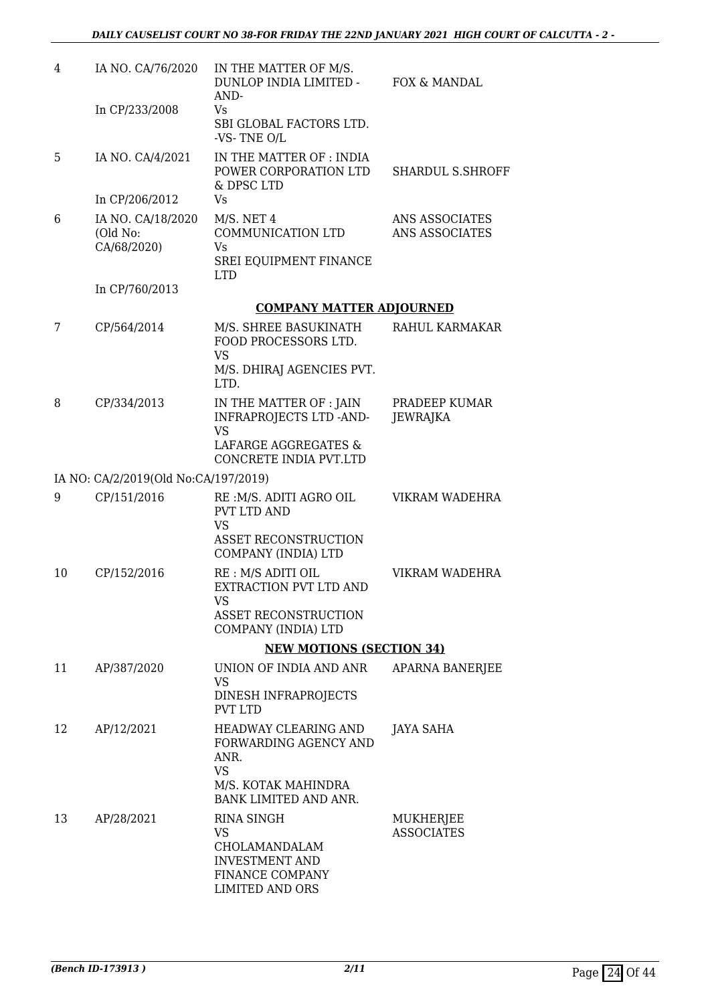| 4  | IA NO. CA/76/2020                            | IN THE MATTER OF M/S.<br>DUNLOP INDIA LIMITED -<br>AND-                                                 | FOX & MANDAL                     |
|----|----------------------------------------------|---------------------------------------------------------------------------------------------------------|----------------------------------|
|    | In CP/233/2008                               | Vs<br>SBI GLOBAL FACTORS LTD.<br>-VS-TNE O/L                                                            |                                  |
| 5  | IA NO. CA/4/2021                             | IN THE MATTER OF : INDIA<br>POWER CORPORATION LTD<br>& DPSC LTD                                         | SHARDUL S.SHROFF                 |
|    | In CP/206/2012                               | Vs                                                                                                      |                                  |
| 6  | IA NO. CA/18/2020<br>(Old No:<br>CA/68/2020) | M/S. NET 4<br>COMMUNICATION LTD<br>Vs                                                                   | ANS ASSOCIATES<br>ANS ASSOCIATES |
|    |                                              | SREI EQUIPMENT FINANCE<br><b>LTD</b>                                                                    |                                  |
|    | In CP/760/2013                               |                                                                                                         |                                  |
|    |                                              | <b>COMPANY MATTER ADJOURNED</b>                                                                         |                                  |
| 7  | CP/564/2014                                  | M/S. SHREE BASUKINATH<br>FOOD PROCESSORS LTD.<br><b>VS</b>                                              | RAHUL KARMAKAR                   |
|    |                                              | M/S. DHIRAJ AGENCIES PVT.<br>LTD.                                                                       |                                  |
| 8  | CP/334/2013                                  | IN THE MATTER OF : JAIN<br>INFRAPROJECTS LTD -AND-                                                      | PRADEEP KUMAR<br><b>JEWRAJKA</b> |
|    |                                              | <b>VS</b><br>LAFARGE AGGREGATES &<br>CONCRETE INDIA PVT.LTD                                             |                                  |
|    | IA NO: CA/2/2019(Old No:CA/197/2019)         |                                                                                                         |                                  |
| 9  | CP/151/2016                                  | RE :M/S. ADITI AGRO OIL<br><b>PVT LTD AND</b>                                                           | VIKRAM WADEHRA                   |
|    |                                              | <b>VS</b><br><b>ASSET RECONSTRUCTION</b><br>COMPANY (INDIA) LTD                                         |                                  |
| 10 | CP/152/2016                                  | RE : M/S ADITI OIL<br>EXTRACTION PVT LTD AND                                                            | VIKRAM WADEHRA                   |
|    |                                              | VS<br>ASSET RECONSTRUCTION<br>COMPANY (INDIA) LTD                                                       |                                  |
|    |                                              | <b>NEW MOTIONS (SECTION 34)</b>                                                                         |                                  |
| 11 | AP/387/2020                                  | UNION OF INDIA AND ANR<br>VS                                                                            | APARNA BANERJEE                  |
|    |                                              | DINESH INFRAPROJECTS<br><b>PVT LTD</b>                                                                  |                                  |
| 12 | AP/12/2021                                   | HEADWAY CLEARING AND<br>FORWARDING AGENCY AND<br>ANR.<br><b>VS</b>                                      | <b>JAYA SAHA</b>                 |
|    |                                              | M/S. KOTAK MAHINDRA<br>BANK LIMITED AND ANR.                                                            |                                  |
| 13 | AP/28/2021                                   | RINA SINGH<br>VS<br>CHOLAMANDALAM<br><b>INVESTMENT AND</b><br>FINANCE COMPANY<br><b>LIMITED AND ORS</b> | MUKHERJEE<br><b>ASSOCIATES</b>   |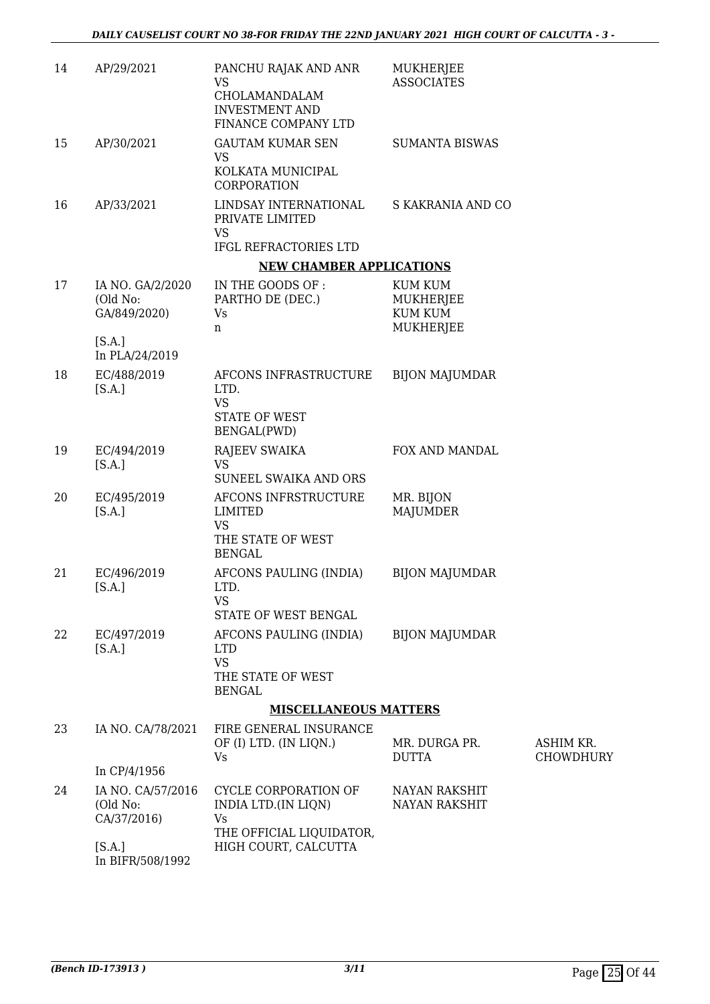| 14 | AP/29/2021                                   | PANCHU RAJAK AND ANR<br><b>VS</b><br>CHOLAMANDALAM<br><b>INVESTMENT AND</b><br>FINANCE COMPANY LTD | MUKHERJEE<br><b>ASSOCIATES</b>                                    |                               |
|----|----------------------------------------------|----------------------------------------------------------------------------------------------------|-------------------------------------------------------------------|-------------------------------|
| 15 | AP/30/2021                                   | <b>GAUTAM KUMAR SEN</b><br>VS<br>KOLKATA MUNICIPAL<br><b>CORPORATION</b>                           | <b>SUMANTA BISWAS</b>                                             |                               |
| 16 | AP/33/2021                                   | LINDSAY INTERNATIONAL<br>PRIVATE LIMITED<br><b>VS</b><br>IFGL REFRACTORIES LTD                     | S KAKRANIA AND CO                                                 |                               |
|    |                                              | <b>NEW CHAMBER APPLICATIONS</b>                                                                    |                                                                   |                               |
| 17 | IA NO. GA/2/2020<br>(Old No:<br>GA/849/2020) | IN THE GOODS OF :<br>PARTHO DE (DEC.)<br>Vs<br>n                                                   | <b>KUM KUM</b><br><b>MUKHERJEE</b><br><b>KUM KUM</b><br>MUKHERJEE |                               |
|    | [S.A.]<br>In PLA/24/2019                     |                                                                                                    |                                                                   |                               |
| 18 | EC/488/2019<br>[S.A.]                        | AFCONS INFRASTRUCTURE<br>LTD.<br><b>VS</b><br><b>STATE OF WEST</b><br>BENGAL(PWD)                  | <b>BIJON MAJUMDAR</b>                                             |                               |
| 19 | EC/494/2019<br>[S.A.]                        | <b>RAJEEV SWAIKA</b><br>VS<br>SUNEEL SWAIKA AND ORS                                                | FOX AND MANDAL                                                    |                               |
| 20 | EC/495/2019<br>[S.A.]                        | AFCONS INFRSTRUCTURE<br><b>LIMITED</b><br><b>VS</b><br>THE STATE OF WEST<br><b>BENGAL</b>          | MR. BIJON<br><b>MAJUMDER</b>                                      |                               |
| 21 | EC/496/2019<br>[SA.]                         | AFCONS PAULING (INDIA)<br>LTD.<br>VS<br>STATE OF WEST BENGAL                                       | <b>BIJON MAJUMDAR</b>                                             |                               |
| 22 | EC/497/2019<br>[S.A.]                        | AFCONS PAULING (INDIA)<br><b>LTD</b><br><b>VS</b><br>THE STATE OF WEST<br><b>BENGAL</b>            | <b>BIJON MAJUMDAR</b>                                             |                               |
|    |                                              | <b>MISCELLANEOUS MATTERS</b>                                                                       |                                                                   |                               |
| 23 | IA NO. CA/78/2021                            | FIRE GENERAL INSURANCE<br>OF (I) LTD. (IN LIQN.)<br>Vs                                             | MR. DURGA PR.<br><b>DUTTA</b>                                     | ASHIM KR.<br><b>CHOWDHURY</b> |
|    | In CP/4/1956                                 |                                                                                                    |                                                                   |                               |
| 24 | IA NO. CA/57/2016<br>(Old No:<br>CA/37/2016) | CYCLE CORPORATION OF<br>INDIA LTD.(IN LIQN)<br>Vs                                                  | <b>NAYAN RAKSHIT</b><br><b>NAYAN RAKSHIT</b>                      |                               |
|    | [S.A.]<br>In BIFR/508/1992                   | THE OFFICIAL LIQUIDATOR,<br>HIGH COURT, CALCUTTA                                                   |                                                                   |                               |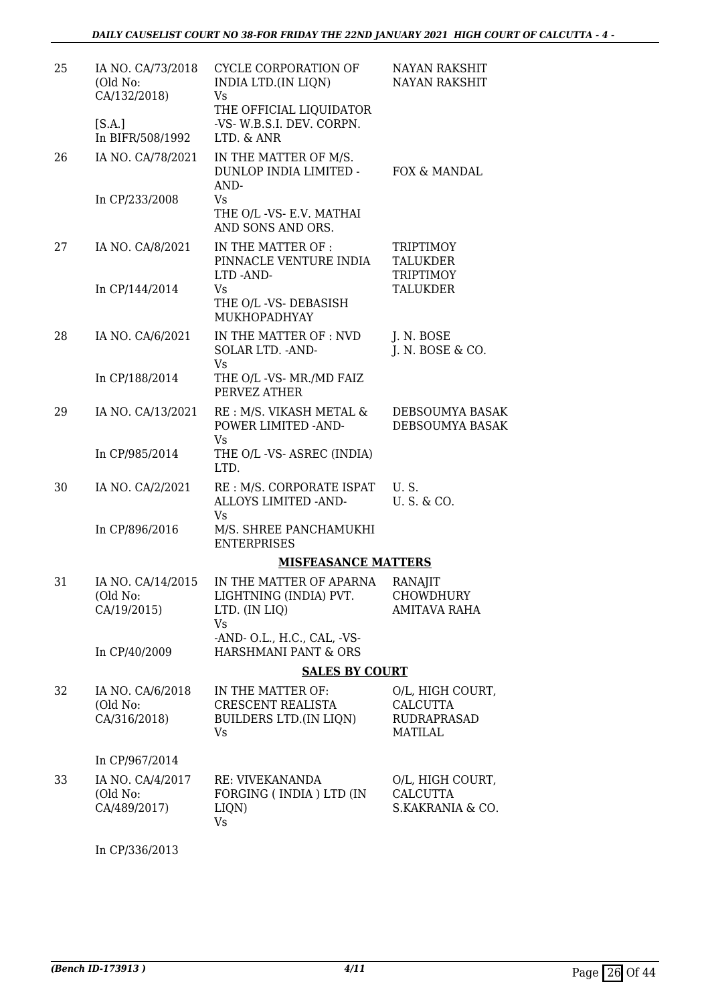| 25 | IA NO. CA/73/2018<br>(Old No:<br>CA/132/2018) | CYCLE CORPORATION OF<br>INDIA LTD.(IN LIQN)<br>Vs<br>THE OFFICIAL LIQUIDATOR  | NAYAN RAKSHIT<br><b>NAYAN RAKSHIT</b>                                       |
|----|-----------------------------------------------|-------------------------------------------------------------------------------|-----------------------------------------------------------------------------|
|    | [S.A.]<br>In BIFR/508/1992                    | -VS- W.B.S.I. DEV. CORPN.<br>LTD. & ANR                                       |                                                                             |
| 26 | IA NO. CA/78/2021                             | IN THE MATTER OF M/S.<br>DUNLOP INDIA LIMITED -<br>AND-                       | FOX & MANDAL                                                                |
|    | In CP/233/2008                                | Vs<br>THE O/L -VS- E.V. MATHAI<br>AND SONS AND ORS.                           |                                                                             |
| 27 | IA NO. CA/8/2021                              | IN THE MATTER OF:<br>PINNACLE VENTURE INDIA<br>LTD-AND-                       | TRIPTIMOY<br>TALUKDER<br>TRIPTIMOY                                          |
|    | In CP/144/2014                                | Vs<br>THE O/L -VS- DEBASISH<br>MUKHOPADHYAY                                   | <b>TALUKDER</b>                                                             |
| 28 | IA NO. CA/6/2021                              | IN THE MATTER OF : NVD<br>SOLAR LTD. - AND-<br><b>Vs</b>                      | J. N. BOSE<br>J. N. BOSE & CO.                                              |
|    | In CP/188/2014                                | THE O/L -VS- MR./MD FAIZ<br>PERVEZ ATHER                                      |                                                                             |
| 29 | IA NO. CA/13/2021                             | RE : M/S. VIKASH METAL &<br>POWER LIMITED -AND-<br>Vs                         | DEBSOUMYA BASAK<br>DEBSOUMYA BASAK                                          |
|    | In CP/985/2014                                | THE O/L -VS- ASREC (INDIA)<br>LTD.                                            |                                                                             |
| 30 | IA NO. CA/2/2021                              | RE : M/S. CORPORATE ISPAT<br>ALLOYS LIMITED - AND-<br>Vs                      | U.S.<br>U.S. & CO.                                                          |
|    | In CP/896/2016                                | M/S. SHREE PANCHAMUKHI<br><b>ENTERPRISES</b>                                  |                                                                             |
|    |                                               | <b>MISFEASANCE MATTERS</b>                                                    |                                                                             |
| 31 | IA NO. CA/14/2015<br>(Old No:<br>CA/19/2015)  | IN THE MATTER OF APARNA<br>LIGHTNING (INDIA) PVT.<br>LTD. (IN LIQ)<br>Vs      | <b>RANAJIT</b><br>CHOWDHURY<br>AMITAVA RAHA                                 |
|    | In CP/40/2009                                 | -AND- O.L., H.C., CAL, -VS-<br>HARSHMANI PANT & ORS                           |                                                                             |
|    |                                               | <b>SALES BY COURT</b>                                                         |                                                                             |
| 32 | IA NO. CA/6/2018<br>(Old No:<br>CA/316/2018)  | IN THE MATTER OF:<br>CRESCENT REALISTA<br><b>BUILDERS LTD.(IN LIQN)</b><br>Vs | O/L, HIGH COURT,<br><b>CALCUTTA</b><br><b>RUDRAPRASAD</b><br><b>MATILAL</b> |
|    | In CP/967/2014                                |                                                                               |                                                                             |
| 33 | IA NO. CA/4/2017<br>(Old No:<br>CA/489/2017)  | RE: VIVEKANANDA<br>FORGING (INDIA) LTD (IN<br>LIQN)<br>Vs                     | O/L, HIGH COURT,<br>CALCUTTA<br>S.KAKRANIA & CO.                            |
|    |                                               |                                                                               |                                                                             |

In CP/336/2013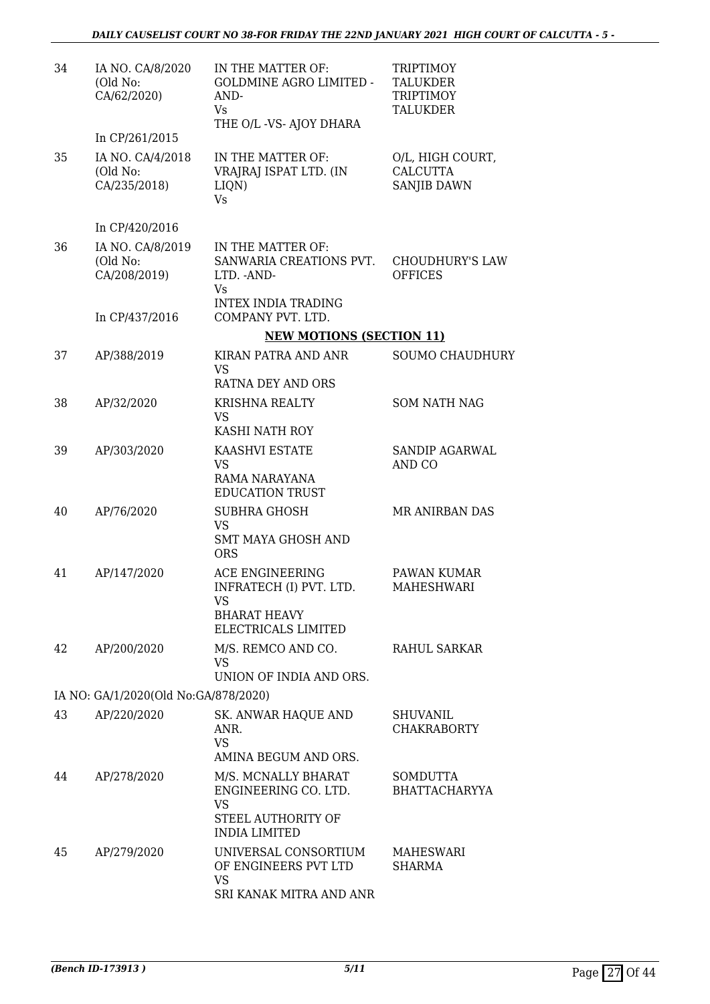| 34 | IA NO. CA/8/2020<br>(Old No:<br>CA/62/2020)                    | IN THE MATTER OF:<br><b>GOLDMINE AGRO LIMITED -</b><br>AND-<br>Vs.<br>THE O/L -VS- AJOY DHARA                        | <b>TRIPTIMOY</b><br><b>TALUKDER</b><br><b>TRIPTIMOY</b><br><b>TALUKDER</b> |
|----|----------------------------------------------------------------|----------------------------------------------------------------------------------------------------------------------|----------------------------------------------------------------------------|
|    | In CP/261/2015                                                 |                                                                                                                      |                                                                            |
| 35 | IA NO. CA/4/2018<br>(Old No:<br>CA/235/2018)                   | IN THE MATTER OF:<br>VRAJRAJ ISPAT LTD. (IN<br>LIQN)<br><b>Vs</b>                                                    | O/L, HIGH COURT,<br><b>CALCUTTA</b><br><b>SANJIB DAWN</b>                  |
|    | In CP/420/2016                                                 |                                                                                                                      |                                                                            |
| 36 | IA NO. CA/8/2019<br>(Old No:<br>CA/208/2019)<br>In CP/437/2016 | IN THE MATTER OF:<br>SANWARIA CREATIONS PVT.<br>LTD. - AND-<br>Vs<br><b>INTEX INDIA TRADING</b><br>COMPANY PVT. LTD. | <b>CHOUDHURY'S LAW</b><br><b>OFFICES</b>                                   |
|    |                                                                | <b>NEW MOTIONS (SECTION 11)</b>                                                                                      |                                                                            |
| 37 | AP/388/2019                                                    | KIRAN PATRA AND ANR                                                                                                  | <b>SOUMO CHAUDHURY</b>                                                     |
|    |                                                                | VS<br>RATNA DEY AND ORS                                                                                              |                                                                            |
| 38 | AP/32/2020                                                     | <b>KRISHNA REALTY</b>                                                                                                | <b>SOM NATH NAG</b>                                                        |
|    |                                                                | <b>VS</b><br>KASHI NATH ROY                                                                                          |                                                                            |
| 39 | AP/303/2020                                                    | KAASHVI ESTATE<br>VS.<br>RAMA NARAYANA<br><b>EDUCATION TRUST</b>                                                     | SANDIP AGARWAL<br>AND CO                                                   |
| 40 | AP/76/2020                                                     | <b>SUBHRA GHOSH</b><br>VS<br><b>SMT MAYA GHOSH AND</b><br><b>ORS</b>                                                 | MR ANIRBAN DAS                                                             |
| 41 | AP/147/2020                                                    | <b>ACE ENGINEERING</b><br>INFRATECH (I) PVT. LTD.<br>VS<br><b>BHARAT HEAVY</b>                                       | PAWAN KUMAR<br><b>MAHESHWARI</b>                                           |
|    |                                                                | ELECTRICALS LIMITED                                                                                                  |                                                                            |
| 42 | AP/200/2020                                                    | M/S. REMCO AND CO.<br><b>VS</b><br>UNION OF INDIA AND ORS.                                                           | RAHUL SARKAR                                                               |
|    | IA NO: GA/1/2020(Old No:GA/878/2020)                           |                                                                                                                      |                                                                            |
| 43 | AP/220/2020                                                    | <b>SK. ANWAR HAQUE AND</b>                                                                                           | <b>SHUVANIL</b>                                                            |
|    |                                                                | ANR.<br><b>VS</b><br>AMINA BEGUM AND ORS.                                                                            | <b>CHAKRABORTY</b>                                                         |
| 44 | AP/278/2020                                                    | M/S. MCNALLY BHARAT                                                                                                  | <b>SOMDUTTA</b>                                                            |
|    |                                                                | ENGINEERING CO. LTD.<br>VS<br>STEEL AUTHORITY OF<br><b>INDIA LIMITED</b>                                             | <b>BHATTACHARYYA</b>                                                       |
| 45 | AP/279/2020                                                    | UNIVERSAL CONSORTIUM<br>OF ENGINEERS PVT LTD<br>VS<br>SRI KANAK MITRA AND ANR                                        | MAHESWARI<br><b>SHARMA</b>                                                 |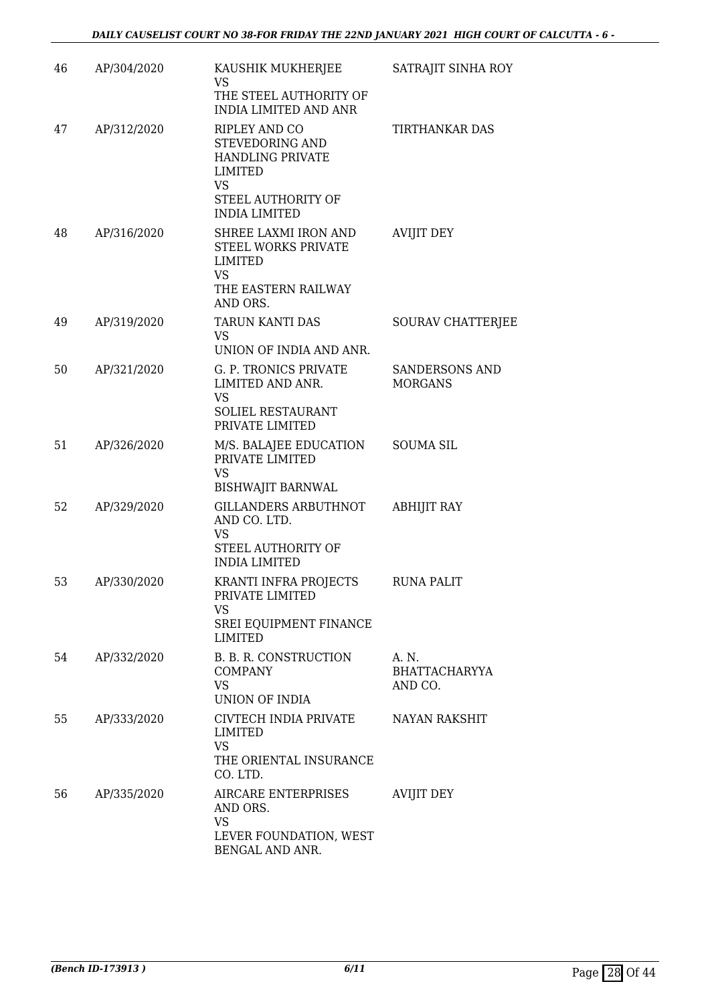| 46 | AP/304/2020 | KAUSHIK MUKHERJEE<br>VS<br>THE STEEL AUTHORITY OF<br>INDIA LIMITED AND ANR                                                 | SATRAJIT SINHA ROY                       |
|----|-------------|----------------------------------------------------------------------------------------------------------------------------|------------------------------------------|
| 47 | AP/312/2020 | RIPLEY AND CO<br>STEVEDORING AND<br><b>HANDLING PRIVATE</b><br>LIMITED<br>VS<br>STEEL AUTHORITY OF<br><b>INDIA LIMITED</b> | TIRTHANKAR DAS                           |
| 48 | AP/316/2020 | SHREE LAXMI IRON AND<br>STEEL WORKS PRIVATE<br>LIMITED<br>VS.<br>THE EASTERN RAILWAY<br>AND ORS.                           | <b>AVIJIT DEY</b>                        |
| 49 | AP/319/2020 | TARUN KANTI DAS<br><b>VS</b><br>UNION OF INDIA AND ANR.                                                                    | SOURAV CHATTERJEE                        |
| 50 | AP/321/2020 | G. P. TRONICS PRIVATE<br>LIMITED AND ANR.<br>VS<br>SOLIEL RESTAURANT<br>PRIVATE LIMITED                                    | <b>SANDERSONS AND</b><br><b>MORGANS</b>  |
| 51 | AP/326/2020 | M/S. BALAJEE EDUCATION<br>PRIVATE LIMITED<br><b>VS</b><br><b>BISHWAJIT BARNWAL</b>                                         | <b>SOUMA SIL</b>                         |
| 52 | AP/329/2020 | GILLANDERS ARBUTHNOT<br>AND CO. LTD.<br>VS<br>STEEL AUTHORITY OF<br><b>INDIA LIMITED</b>                                   | <b>ABHIJIT RAY</b>                       |
| 53 | AP/330/2020 | KRANTI INFRA PROJECTS<br>PRIVATE LIMITED<br>VS<br>SREI EQUIPMENT FINANCE<br><b>LIMITED</b>                                 | <b>RUNA PALIT</b>                        |
| 54 | AP/332/2020 | B. B. R. CONSTRUCTION<br><b>COMPANY</b><br>VS<br>UNION OF INDIA                                                            | A. N.<br><b>BHATTACHARYYA</b><br>AND CO. |
| 55 | AP/333/2020 | CIVTECH INDIA PRIVATE<br>LIMITED<br><b>VS</b><br>THE ORIENTAL INSURANCE<br>CO. LTD.                                        | <b>NAYAN RAKSHIT</b>                     |
| 56 | AP/335/2020 | AIRCARE ENTERPRISES<br>AND ORS.<br><b>VS</b><br>LEVER FOUNDATION, WEST<br>BENGAL AND ANR.                                  | <b>AVIJIT DEY</b>                        |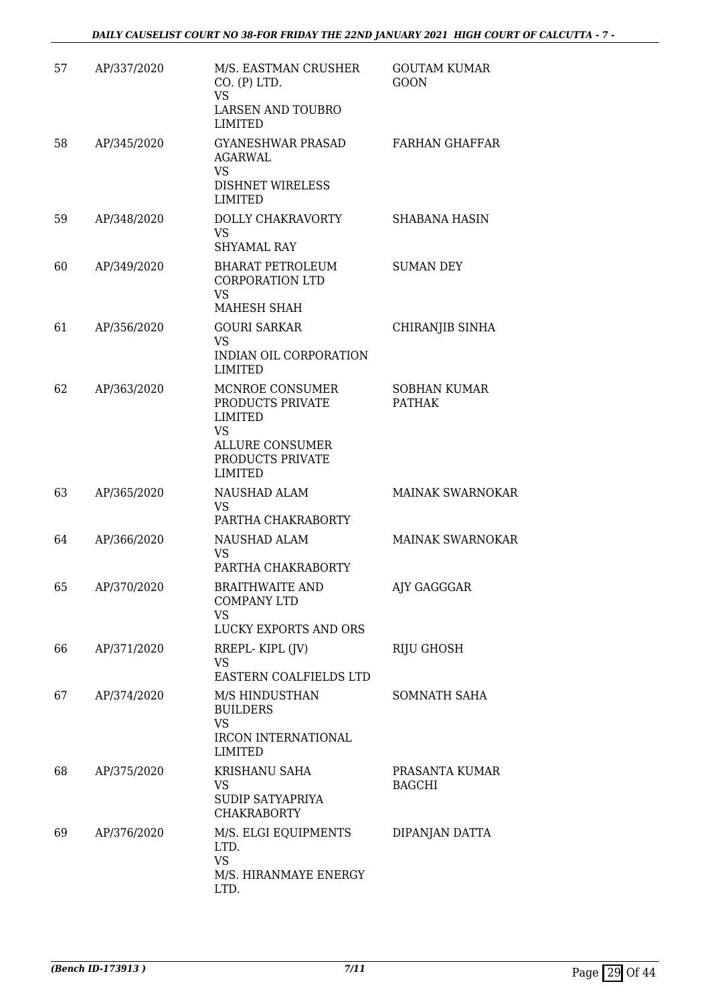| 57 | AP/337/2020 | M/S. EASTMAN CRUSHER<br>CO. (P) LTD.<br><b>VS</b><br>LARSEN AND TOUBRO<br><b>LIMITED</b>                                           | <b>GOUTAM KUMAR</b><br><b>GOON</b>   |
|----|-------------|------------------------------------------------------------------------------------------------------------------------------------|--------------------------------------|
| 58 | AP/345/2020 | <b>GYANESHWAR PRASAD</b><br><b>AGARWAL</b><br><b>VS</b><br><b>DISHNET WIRELESS</b><br><b>LIMITED</b>                               | <b>FARHAN GHAFFAR</b>                |
| 59 | AP/348/2020 | DOLLY CHAKRAVORTY<br><b>VS</b><br><b>SHYAMAL RAY</b>                                                                               | <b>SHABANA HASIN</b>                 |
| 60 | AP/349/2020 | <b>BHARAT PETROLEUM</b><br><b>CORPORATION LTD</b><br><b>VS</b><br>MAHESH SHAH                                                      | <b>SUMAN DEY</b>                     |
| 61 | AP/356/2020 | <b>GOURI SARKAR</b><br><b>VS</b><br>INDIAN OIL CORPORATION<br><b>LIMITED</b>                                                       | CHIRANJIB SINHA                      |
| 62 | AP/363/2020 | MCNROE CONSUMER<br>PRODUCTS PRIVATE<br><b>LIMITED</b><br><b>VS</b><br><b>ALLURE CONSUMER</b><br>PRODUCTS PRIVATE<br><b>LIMITED</b> | <b>SOBHAN KUMAR</b><br><b>PATHAK</b> |
| 63 | AP/365/2020 | NAUSHAD ALAM<br><b>VS</b><br>PARTHA CHAKRABORTY                                                                                    | <b>MAINAK SWARNOKAR</b>              |
| 64 | AP/366/2020 | <b>NAUSHAD ALAM</b><br>VS<br>PARTHA CHAKRABORTY                                                                                    | <b>MAINAK SWARNOKAR</b>              |
| 65 | AP/370/2020 | <b>BRAITHWAITE AND</b><br><b>COMPANY LTD</b><br><b>VS</b><br>LUCKY EXPORTS AND ORS                                                 | AJY GAGGGAR                          |
| 66 | AP/371/2020 | RREPL-KIPL (JV)<br>VS<br>EASTERN COALFIELDS LTD                                                                                    | <b>RIJU GHOSH</b>                    |
| 67 | AP/374/2020 | M/S HINDUSTHAN<br><b>BUILDERS</b><br><b>VS</b><br><b>IRCON INTERNATIONAL</b><br><b>LIMITED</b>                                     | <b>SOMNATH SAHA</b>                  |
| 68 | AP/375/2020 | KRISHANU SAHA<br><b>VS</b><br>SUDIP SATYAPRIYA<br><b>CHAKRABORTY</b>                                                               | PRASANTA KUMAR<br><b>BAGCHI</b>      |
| 69 | AP/376/2020 | M/S. ELGI EQUIPMENTS<br>LTD.<br><b>VS</b><br>M/S. HIRANMAYE ENERGY<br>LTD.                                                         | DIPANJAN DATTA                       |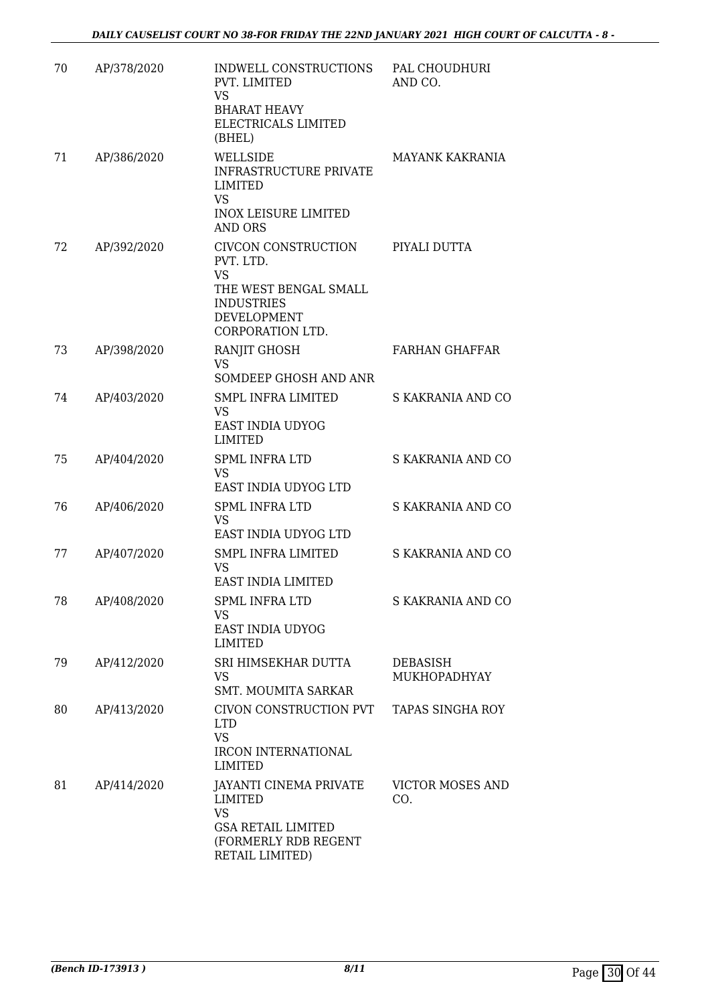| 70 | AP/378/2020 | INDWELL CONSTRUCTIONS<br>PVT. LIMITED<br><b>VS</b><br><b>BHARAT HEAVY</b><br>ELECTRICALS LIMITED<br>(BHEL)                     | PAL CHOUDHURI<br>AND CO.        |
|----|-------------|--------------------------------------------------------------------------------------------------------------------------------|---------------------------------|
| 71 | AP/386/2020 | WELLSIDE<br><b>INFRASTRUCTURE PRIVATE</b><br>LIMITED<br><b>VS</b><br><b>INOX LEISURE LIMITED</b><br><b>AND ORS</b>             | MAYANK KAKRANIA                 |
| 72 | AP/392/2020 | CIVCON CONSTRUCTION<br>PVT. LTD.<br><b>VS</b><br>THE WEST BENGAL SMALL<br><b>INDUSTRIES</b><br>DEVELOPMENT<br>CORPORATION LTD. | PIYALI DUTTA                    |
| 73 | AP/398/2020 | RANJIT GHOSH<br><b>VS</b><br>SOMDEEP GHOSH AND ANR                                                                             | <b>FARHAN GHAFFAR</b>           |
| 74 | AP/403/2020 | <b>SMPL INFRA LIMITED</b><br>VS<br>EAST INDIA UDYOG<br><b>LIMITED</b>                                                          | S KAKRANIA AND CO               |
| 75 | AP/404/2020 | <b>SPML INFRA LTD</b><br>VS<br>EAST INDIA UDYOG LTD                                                                            | S KAKRANIA AND CO               |
| 76 | AP/406/2020 | <b>SPML INFRA LTD</b><br><b>VS</b><br>EAST INDIA UDYOG LTD                                                                     | S KAKRANIA AND CO               |
| 77 | AP/407/2020 | <b>SMPL INFRA LIMITED</b><br>VS<br>EAST INDIA LIMITED                                                                          | S KAKRANIA AND CO               |
| 78 | AP/408/2020 | SPML INFRA LTD<br>VS.<br>EAST INDIA UDYOG<br><b>LIMITED</b>                                                                    | S KAKRANIA AND CO               |
| 79 | AP/412/2020 | SRI HIMSEKHAR DUTTA<br>VS<br>SMT. MOUMITA SARKAR                                                                               | <b>DEBASISH</b><br>MUKHOPADHYAY |
| 80 | AP/413/2020 | CIVON CONSTRUCTION PVT<br><b>LTD</b><br><b>VS</b><br>IRCON INTERNATIONAL<br><b>LIMITED</b>                                     | TAPAS SINGHA ROY                |
| 81 | AP/414/2020 | JAYANTI CINEMA PRIVATE<br><b>LIMITED</b><br><b>VS</b><br><b>GSA RETAIL LIMITED</b><br>(FORMERLY RDB REGENT<br>RETAIL LIMITED)  | <b>VICTOR MOSES AND</b><br>CO.  |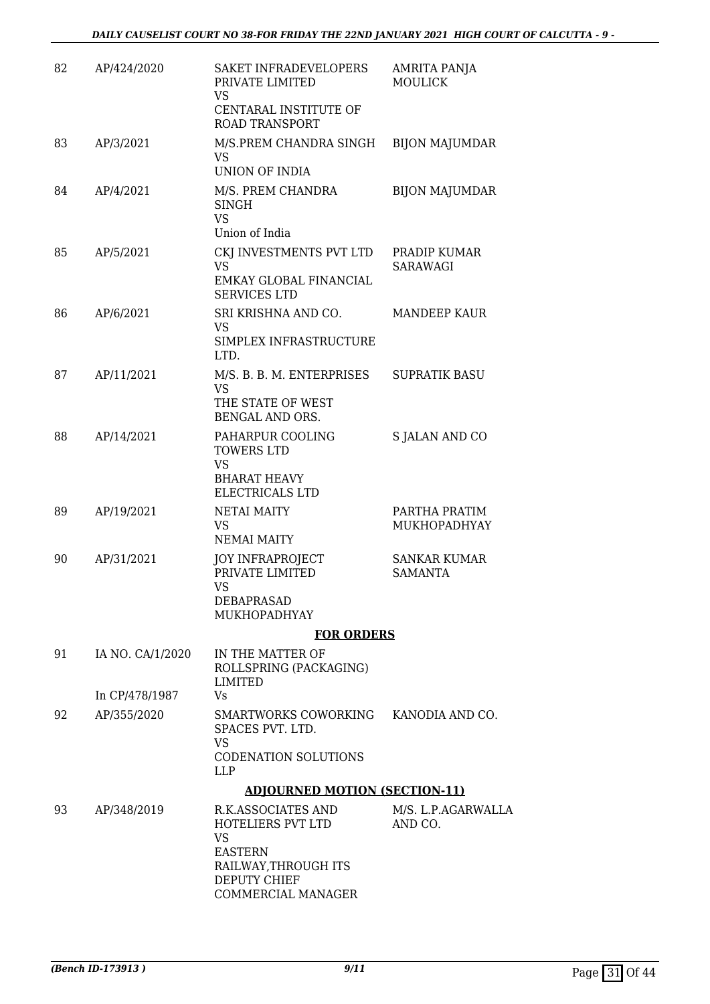| 82 | AP/424/2020      | SAKET INFRADEVELOPERS<br>PRIVATE LIMITED<br>VS                                                                 | <b>AMRITA PANJA</b><br><b>MOULICK</b> |
|----|------------------|----------------------------------------------------------------------------------------------------------------|---------------------------------------|
|    |                  | CENTARAL INSTITUTE OF<br><b>ROAD TRANSPORT</b>                                                                 |                                       |
| 83 | AP/3/2021        | M/S.PREM CHANDRA SINGH<br>VS<br><b>UNION OF INDIA</b>                                                          | <b>BIJON MAJUMDAR</b>                 |
| 84 | AP/4/2021        | M/S. PREM CHANDRA<br><b>SINGH</b><br><b>VS</b><br>Union of India                                               | <b>BIJON MAJUMDAR</b>                 |
| 85 | AP/5/2021        | CKJ INVESTMENTS PVT LTD<br><b>VS</b><br>EMKAY GLOBAL FINANCIAL<br><b>SERVICES LTD</b>                          | PRADIP KUMAR<br>SARAWAGI              |
| 86 | AP/6/2021        | SRI KRISHNA AND CO.<br>VS<br>SIMPLEX INFRASTRUCTURE<br>LTD.                                                    | <b>MANDEEP KAUR</b>                   |
| 87 | AP/11/2021       | M/S. B. B. M. ENTERPRISES<br><b>VS</b><br>THE STATE OF WEST<br>BENGAL AND ORS.                                 | <b>SUPRATIK BASU</b>                  |
| 88 | AP/14/2021       | PAHARPUR COOLING<br><b>TOWERS LTD</b><br><b>VS</b><br><b>BHARAT HEAVY</b><br>ELECTRICALS LTD                   | S JALAN AND CO                        |
| 89 | AP/19/2021       | <b>NETAI MAITY</b><br>VS<br><b>NEMAI MAITY</b>                                                                 | PARTHA PRATIM<br>MUKHOPADHYAY         |
| 90 | AP/31/2021       | <b>JOY INFRAPROJECT</b><br>PRIVATE LIMITED<br>VS<br>DEBAPRASAD<br>MUKHOPADHYAY                                 | <b>SANKAR KUMAR</b><br><b>SAMANTA</b> |
|    |                  | <b>FOR ORDERS</b>                                                                                              |                                       |
| 91 | IA NO. CA/1/2020 | IN THE MATTER OF<br>ROLLSPRING (PACKAGING)<br>LIMITED                                                          |                                       |
|    | In CP/478/1987   | Vs                                                                                                             |                                       |
| 92 | AP/355/2020      | SMARTWORKS COWORKING KANODIA AND CO.<br>SPACES PVT. LTD.<br>VS<br><b>CODENATION SOLUTIONS</b><br><b>LLP</b>    |                                       |
|    |                  | <b>ADJOURNED MOTION (SECTION-11)</b>                                                                           |                                       |
| 93 | AP/348/2019      | R.K.ASSOCIATES AND<br>HOTELIERS PVT LTD<br><b>VS</b><br><b>EASTERN</b><br>RAILWAY, THROUGH ITS<br>DEPUTY CHIEF | M/S. L.P.AGARWALLA<br>AND CO.         |

COMMERCIAL MANAGER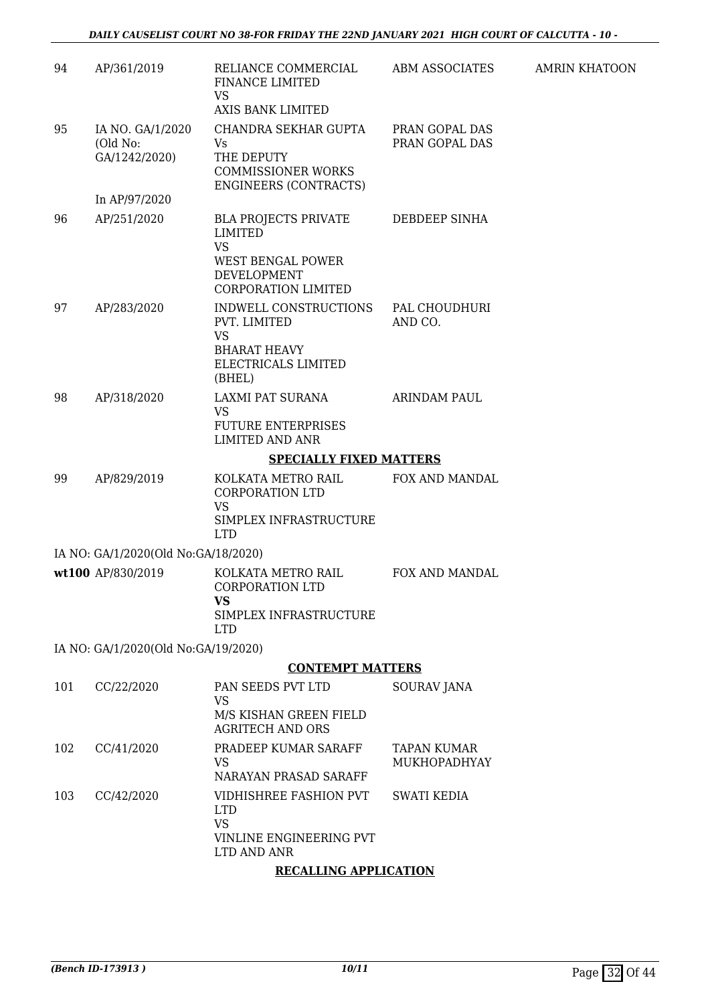| 94  | AP/361/2019                                   | RELIANCE COMMERCIAL<br>FINANCE LIMITED<br><b>VS</b><br>AXIS BANK LIMITED                                                            | ABM ASSOCIATES                     | <b>AMRIN KHATOON</b> |  |  |  |
|-----|-----------------------------------------------|-------------------------------------------------------------------------------------------------------------------------------------|------------------------------------|----------------------|--|--|--|
| 95  | IA NO. GA/1/2020<br>(Old No:<br>GA/1242/2020) | CHANDRA SEKHAR GUPTA<br>Vs<br>THE DEPUTY<br><b>COMMISSIONER WORKS</b><br><b>ENGINEERS (CONTRACTS)</b>                               | PRAN GOPAL DAS<br>PRAN GOPAL DAS   |                      |  |  |  |
|     | In AP/97/2020                                 |                                                                                                                                     |                                    |                      |  |  |  |
| 96  | AP/251/2020                                   | <b>BLA PROJECTS PRIVATE</b><br><b>LIMITED</b><br><b>VS</b><br><b>WEST BENGAL POWER</b><br>DEVELOPMENT<br><b>CORPORATION LIMITED</b> | <b>DEBDEEP SINHA</b>               |                      |  |  |  |
| 97  | AP/283/2020                                   | INDWELL CONSTRUCTIONS<br>PVT. LIMITED<br><b>VS</b><br><b>BHARAT HEAVY</b><br>ELECTRICALS LIMITED<br>(BHEL)                          | PAL CHOUDHURI<br>AND CO.           |                      |  |  |  |
| 98  | AP/318/2020                                   | LAXMI PAT SURANA<br><b>VS</b><br><b>FUTURE ENTERPRISES</b><br><b>LIMITED AND ANR</b>                                                | <b>ARINDAM PAUL</b>                |                      |  |  |  |
|     |                                               | <b>SPECIALLY FIXED MATTERS</b>                                                                                                      |                                    |                      |  |  |  |
| 99  | AP/829/2019                                   | KOLKATA METRO RAIL<br><b>CORPORATION LTD</b><br><b>VS</b><br>SIMPLEX INFRASTRUCTURE<br><b>LTD</b>                                   | FOX AND MANDAL                     |                      |  |  |  |
|     | IA NO: GA/1/2020(Old No:GA/18/2020)           |                                                                                                                                     |                                    |                      |  |  |  |
|     | wt100 AP/830/2019                             | KOLKATA METRO RAIL<br>CORPORATION LTD<br><b>VS</b><br>SIMPLEX INFRASTRUCTURE                                                        | FOX AND MANDAL                     |                      |  |  |  |
|     |                                               | <b>LTD</b>                                                                                                                          |                                    |                      |  |  |  |
|     | IA NO: GA/1/2020(Old No:GA/19/2020)           | <b>CONTEMPT MATTERS</b>                                                                                                             |                                    |                      |  |  |  |
| 101 | CC/22/2020                                    | PAN SEEDS PVT LTD                                                                                                                   | <b>SOURAV JANA</b>                 |                      |  |  |  |
|     |                                               | <b>VS</b><br>M/S KISHAN GREEN FIELD<br><b>AGRITECH AND ORS</b>                                                                      |                                    |                      |  |  |  |
| 102 | CC/41/2020                                    | PRADEEP KUMAR SARAFF<br>VS<br>NARAYAN PRASAD SARAFF                                                                                 | <b>TAPAN KUMAR</b><br>MUKHOPADHYAY |                      |  |  |  |
| 103 | CC/42/2020                                    | VIDHISHREE FASHION PVT<br><b>LTD</b><br><b>VS</b>                                                                                   | <b>SWATI KEDIA</b>                 |                      |  |  |  |
|     |                                               | VINLINE ENGINEERING PVT<br>LTD AND ANR                                                                                              |                                    |                      |  |  |  |
|     |                                               | <b>RECALLING APPLICATION</b>                                                                                                        |                                    |                      |  |  |  |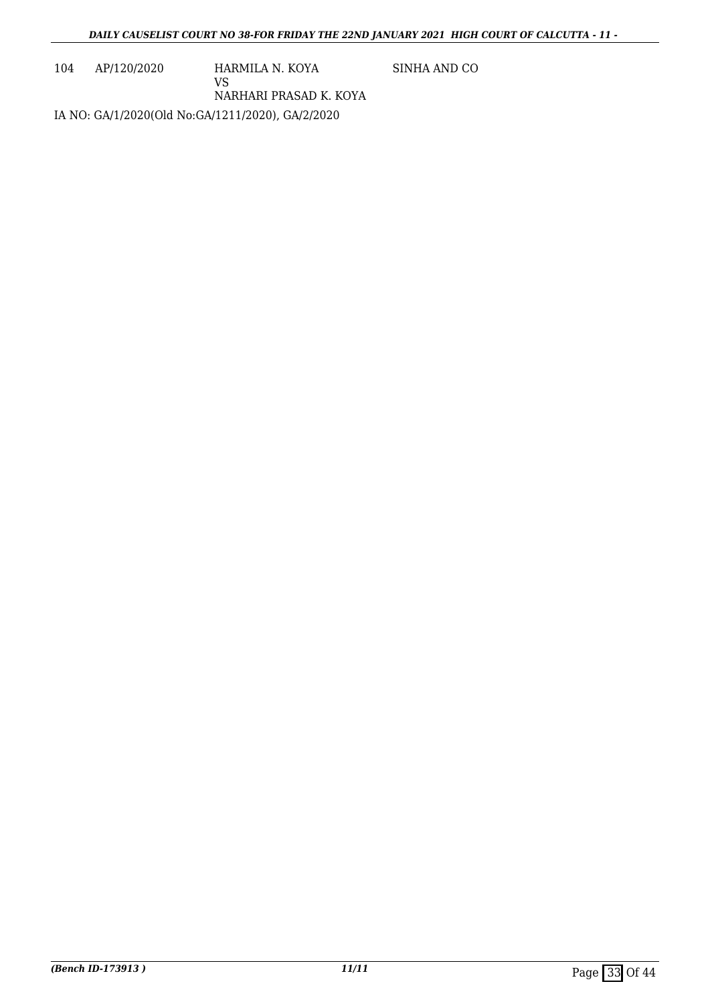104 AP/120/2020 HARMILA N. KOYA

SINHA AND CO

VS NARHARI PRASAD K. KOYA

IA NO: GA/1/2020(Old No:GA/1211/2020), GA/2/2020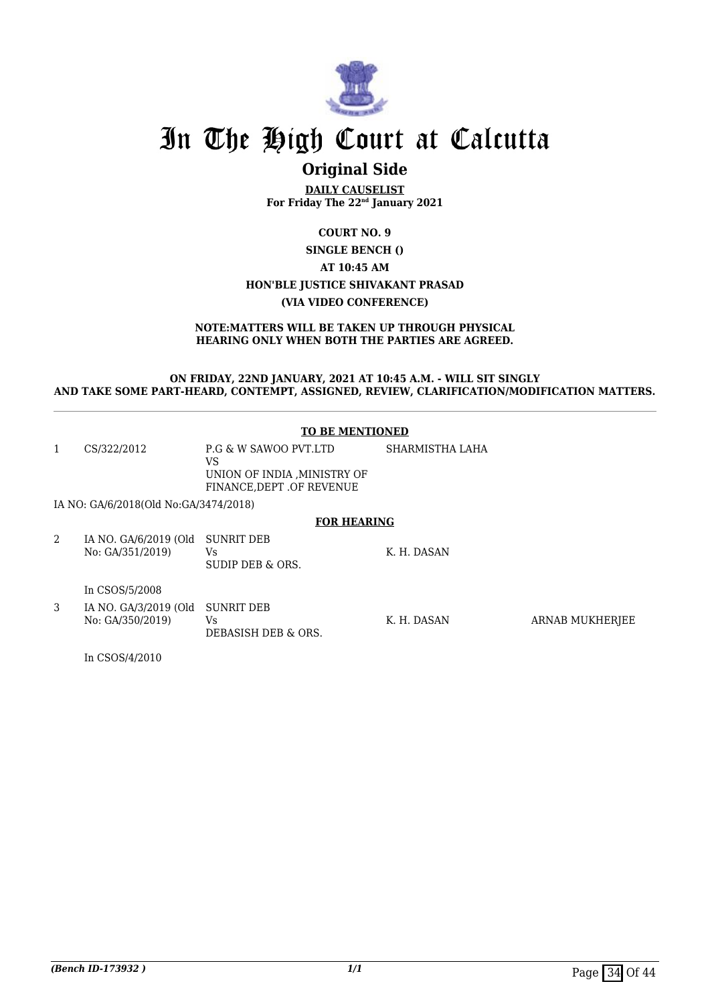

### **Original Side**

**DAILY CAUSELIST For Friday The 22nd January 2021**

#### **COURT NO. 9 SINGLE BENCH () AT 10:45 AM HON'BLE JUSTICE SHIVAKANT PRASAD (VIA VIDEO CONFERENCE)**

#### **NOTE:MATTERS WILL BE TAKEN UP THROUGH PHYSICAL HEARING ONLY WHEN BOTH THE PARTIES ARE AGREED.**

#### **ON FRIDAY, 22ND JANUARY, 2021 AT 10:45 A.M. - WILL SIT SINGLY AND TAKE SOME PART-HEARD, CONTEMPT, ASSIGNED, REVIEW, CLARIFICATION/MODIFICATION MATTERS.**

#### **TO BE MENTIONED**

| 1 | CS/322/2012                               | P.G & W SAWOO PVT.LTD<br>VS<br>UNION OF INDIA .MINISTRY OF<br>FINANCE, DEPT .OF REVENUE | SHARMISTHA LAHA |                 |  |  |
|---|-------------------------------------------|-----------------------------------------------------------------------------------------|-----------------|-----------------|--|--|
|   | IA NO: GA/6/2018(Old No:GA/3474/2018)     |                                                                                         |                 |                 |  |  |
|   | <b>FOR HEARING</b>                        |                                                                                         |                 |                 |  |  |
| 2 | IA NO. GA/6/2019 (Old<br>No: GA/351/2019) | <b>SUNRIT DEB</b><br>Vs.<br>SUDIP DEB & ORS.                                            | K. H. DASAN     |                 |  |  |
|   | In CSOS/5/2008                            |                                                                                         |                 |                 |  |  |
| 3 | IA NO. GA/3/2019 (Old<br>No: GA/350/2019) | <b>SUNRIT DEB</b><br>Vs.<br>DEBASISH DEB & ORS.                                         | K. H. DASAN     | ARNAB MUKHERJEE |  |  |

In CSOS/4/2010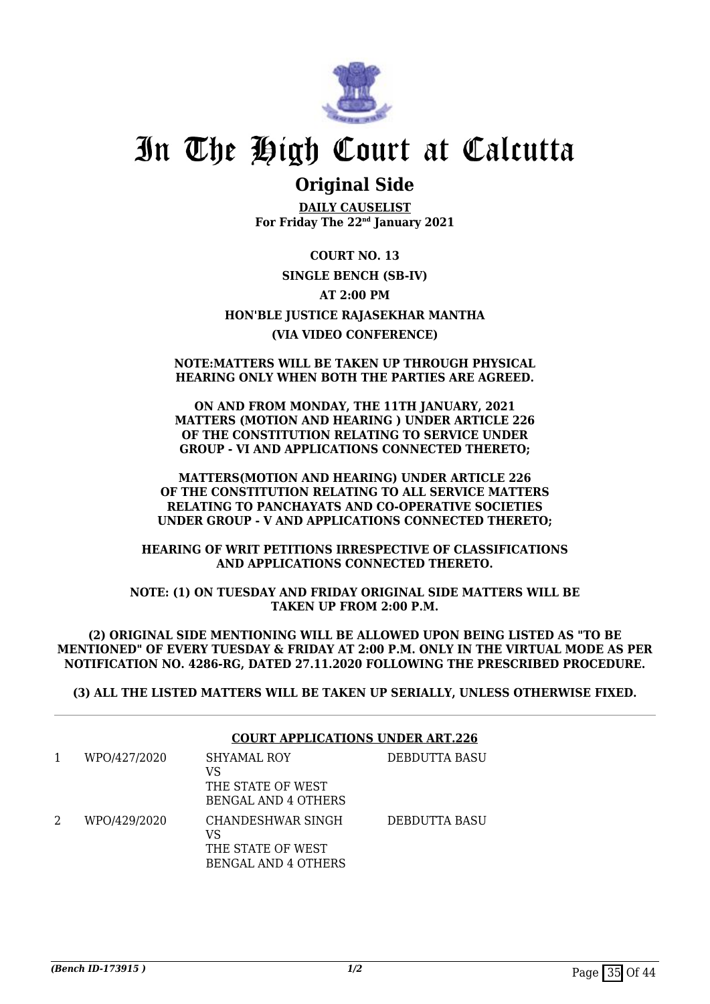

### **Original Side**

**DAILY CAUSELIST For Friday The 22nd January 2021**

**COURT NO. 13 SINGLE BENCH (SB-IV) AT 2:00 PM HON'BLE JUSTICE RAJASEKHAR MANTHA (VIA VIDEO CONFERENCE)**

#### **NOTE:MATTERS WILL BE TAKEN UP THROUGH PHYSICAL HEARING ONLY WHEN BOTH THE PARTIES ARE AGREED.**

**ON AND FROM MONDAY, THE 11TH JANUARY, 2021 MATTERS (MOTION AND HEARING ) UNDER ARTICLE 226 OF THE CONSTITUTION RELATING TO SERVICE UNDER GROUP - VI AND APPLICATIONS CONNECTED THERETO;**

**MATTERS(MOTION AND HEARING) UNDER ARTICLE 226 OF THE CONSTITUTION RELATING TO ALL SERVICE MATTERS RELATING TO PANCHAYATS AND CO-OPERATIVE SOCIETIES UNDER GROUP - V AND APPLICATIONS CONNECTED THERETO;**

**HEARING OF WRIT PETITIONS IRRESPECTIVE OF CLASSIFICATIONS AND APPLICATIONS CONNECTED THERETO.**

**NOTE: (1) ON TUESDAY AND FRIDAY ORIGINAL SIDE MATTERS WILL BE TAKEN UP FROM 2:00 P.M.**

**(2) ORIGINAL SIDE MENTIONING WILL BE ALLOWED UPON BEING LISTED AS "TO BE MENTIONED" OF EVERY TUESDAY & FRIDAY AT 2:00 P.M. ONLY IN THE VIRTUAL MODE AS PER NOTIFICATION NO. 4286-RG, DATED 27.11.2020 FOLLOWING THE PRESCRIBED PROCEDURE.**

**(3) ALL THE LISTED MATTERS WILL BE TAKEN UP SERIALLY, UNLESS OTHERWISE FIXED.**

|   |              |                                                                            | <b>COURT APPLICATIONS UNDER ART.226</b> |  |  |
|---|--------------|----------------------------------------------------------------------------|-----------------------------------------|--|--|
|   | WPO/427/2020 | SHYAMAL ROY<br>VS<br>THE STATE OF WEST<br><b>BENGAL AND 4 OTHERS</b>       | DEBDUTTA BASU                           |  |  |
| 2 | WPO/429/2020 | CHANDESHWAR SINGH<br>VS<br>THE STATE OF WEST<br><b>BENGAL AND 4 OTHERS</b> | DEBDUTTA BASU                           |  |  |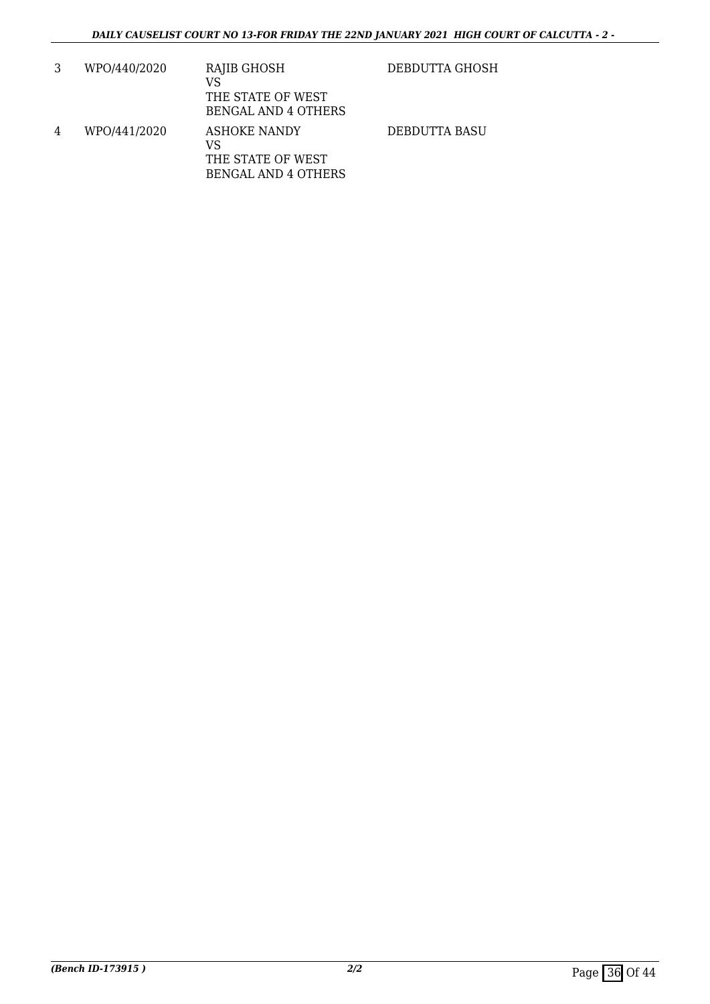|   | WPO/440/2020 | RAJIB GHOSH<br>VS<br>THE STATE OF WEST<br><b>BENGAL AND 4 OTHERS</b>         | DEBDUTTA GHOSH |
|---|--------------|------------------------------------------------------------------------------|----------------|
| 4 | WPO/441/2020 | <b>ASHOKE NANDY</b><br>VS<br>THE STATE OF WEST<br><b>BENGAL AND 4 OTHERS</b> | DEBDUTTA BASU  |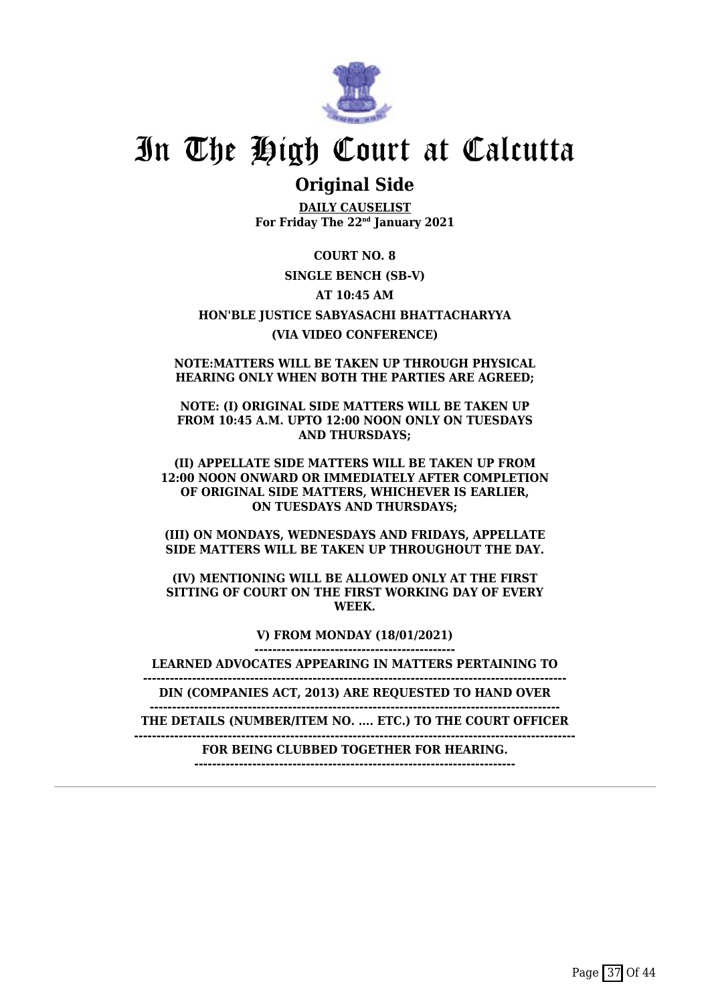

### **Original Side**

**DAILY CAUSELIST For Friday The 22nd January 2021**

**COURT NO. 8 SINGLE BENCH (SB-V) AT 10:45 AM HON'BLE JUSTICE SABYASACHI BHATTACHARYYA (VIA VIDEO CONFERENCE)**

**NOTE:MATTERS WILL BE TAKEN UP THROUGH PHYSICAL HEARING ONLY WHEN BOTH THE PARTIES ARE AGREED;**

**NOTE: (I) ORIGINAL SIDE MATTERS WILL BE TAKEN UP FROM 10:45 A.M. UPTO 12:00 NOON ONLY ON TUESDAYS AND THURSDAYS;**

**(II) APPELLATE SIDE MATTERS WILL BE TAKEN UP FROM 12:00 NOON ONWARD OR IMMEDIATELY AFTER COMPLETION OF ORIGINAL SIDE MATTERS, WHICHEVER IS EARLIER, ON TUESDAYS AND THURSDAYS;**

**(III) ON MONDAYS, WEDNESDAYS AND FRIDAYS, APPELLATE SIDE MATTERS WILL BE TAKEN UP THROUGHOUT THE DAY.**

**(IV) MENTIONING WILL BE ALLOWED ONLY AT THE FIRST SITTING OF COURT ON THE FIRST WORKING DAY OF EVERY WEEK.**

> **V) FROM MONDAY (18/01/2021) ---------------------------------------------**

**LEARNED ADVOCATES APPEARING IN MATTERS PERTAINING TO**

**-----------------------------------------------------------------------------------------------**

**DIN (COMPANIES ACT, 2013) ARE REQUESTED TO HAND OVER --------------------------------------------------------------------------------------------**

**THE DETAILS (NUMBER/ITEM NO. .... ETC.) TO THE COURT OFFICER**

**---------------------------------------------------------------------------------------------------**

**FOR BEING CLUBBED TOGETHER FOR HEARING. ------------------------------------------------------------------------**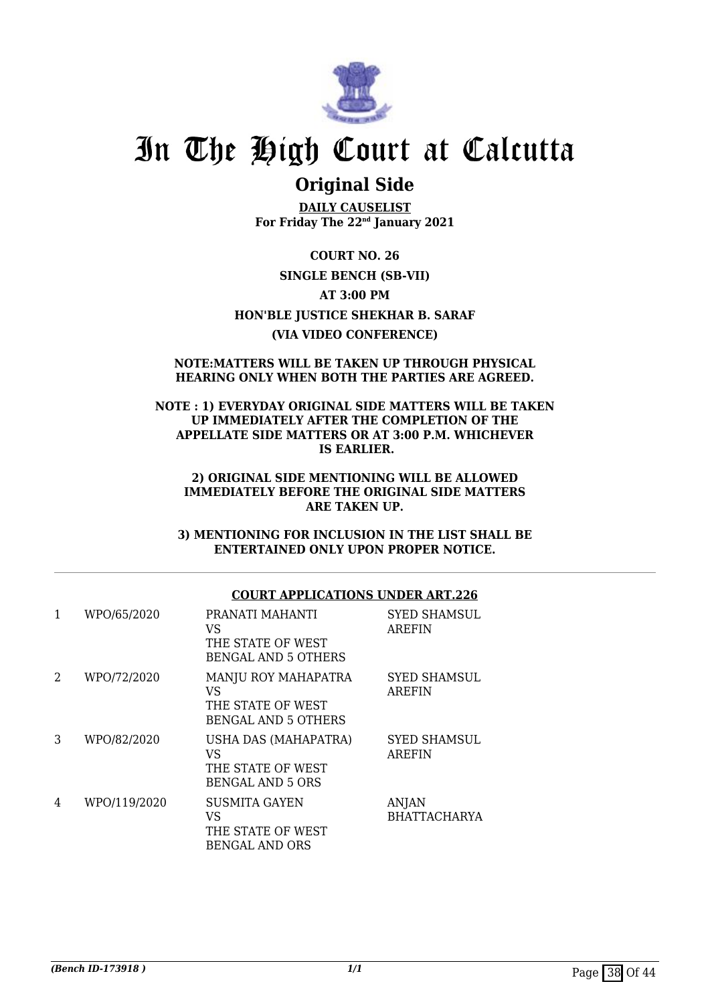

### **Original Side**

**DAILY CAUSELIST For Friday The 22nd January 2021**

**COURT NO. 26 SINGLE BENCH (SB-VII) AT 3:00 PM HON'BLE JUSTICE SHEKHAR B. SARAF (VIA VIDEO CONFERENCE)**

#### **NOTE:MATTERS WILL BE TAKEN UP THROUGH PHYSICAL HEARING ONLY WHEN BOTH THE PARTIES ARE AGREED.**

#### **NOTE : 1) EVERYDAY ORIGINAL SIDE MATTERS WILL BE TAKEN UP IMMEDIATELY AFTER THE COMPLETION OF THE APPELLATE SIDE MATTERS OR AT 3:00 P.M. WHICHEVER IS EARLIER.**

#### **2) ORIGINAL SIDE MENTIONING WILL BE ALLOWED IMMEDIATELY BEFORE THE ORIGINAL SIDE MATTERS ARE TAKEN UP.**

**3) MENTIONING FOR INCLUSION IN THE LIST SHALL BE ENTERTAINED ONLY UPON PROPER NOTICE.**

#### **COURT APPLICATIONS UNDER ART.226**

| 1              | WPO/65/2020  | PRANATI MAHANTI<br>VS<br>THE STATE OF WEST<br><b>BENGAL AND 5 OTHERS</b>            | <b>SYED SHAMSUL</b><br><b>AREFIN</b> |
|----------------|--------------|-------------------------------------------------------------------------------------|--------------------------------------|
| $\overline{2}$ | WPO/72/2020  | <b>MANJU ROY MAHAPATRA</b><br>VS<br>THE STATE OF WEST<br><b>BENGAL AND 5 OTHERS</b> | <b>SYED SHAMSUL</b><br><b>AREFIN</b> |
| 3              | WPO/82/2020  | USHA DAS (MAHAPATRA)<br>VS<br>THE STATE OF WEST<br><b>BENGAL AND 5 ORS</b>          | <b>SYED SHAMSUL</b><br><b>AREFIN</b> |
| 4              | WPO/119/2020 | <b>SUSMITA GAYEN</b><br>VS<br>THE STATE OF WEST<br><b>BENGAL AND ORS</b>            | ANJAN<br><b>BHATTACHARYA</b>         |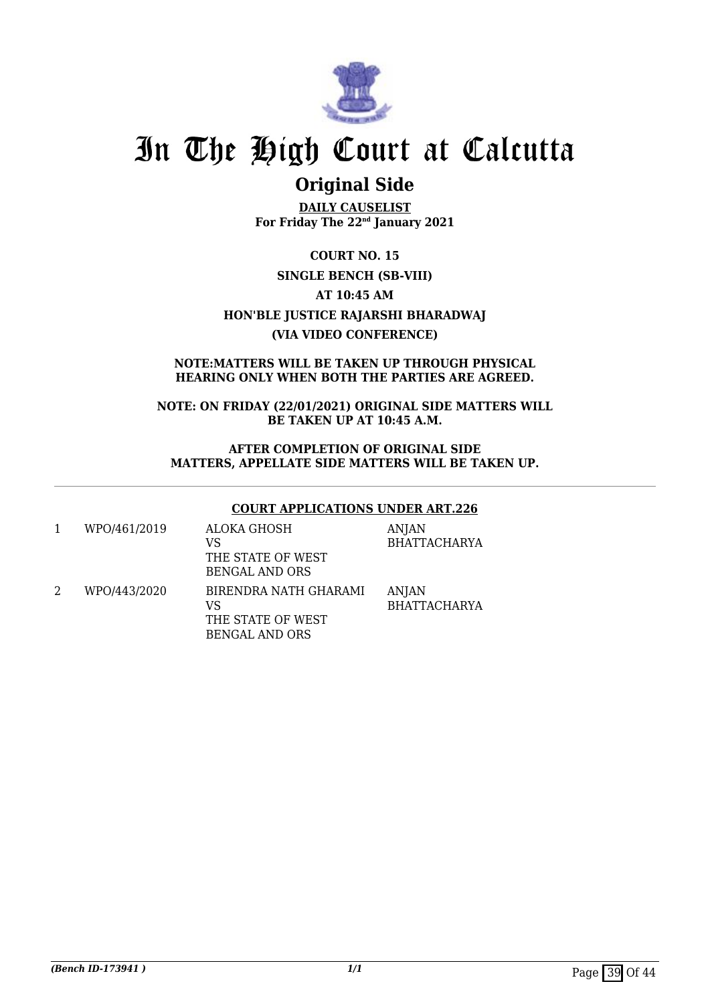

## **Original Side**

**DAILY CAUSELIST For Friday The 22nd January 2021**

**COURT NO. 15 SINGLE BENCH (SB-VIII) AT 10:45 AM HON'BLE JUSTICE RAJARSHI BHARADWAJ (VIA VIDEO CONFERENCE)**

#### **NOTE:MATTERS WILL BE TAKEN UP THROUGH PHYSICAL HEARING ONLY WHEN BOTH THE PARTIES ARE AGREED.**

**NOTE: ON FRIDAY (22/01/2021) ORIGINAL SIDE MATTERS WILL BE TAKEN UP AT 10:45 A.M.**

#### **AFTER COMPLETION OF ORIGINAL SIDE MATTERS, APPELLATE SIDE MATTERS WILL BE TAKEN UP.**

#### **COURT APPLICATIONS UNDER ART.226**

| WPO/461/2019 | ALOKA GHOSH<br>VS<br>THE STATE OF WEST<br><b>BENGAL AND ORS</b>           | <b>ANJAN</b><br><b>BHATTACHARYA</b> |
|--------------|---------------------------------------------------------------------------|-------------------------------------|
| WPO/443/2020 | BIRENDRA NATH GHARAMI<br>VS<br>THE STATE OF WEST<br><b>BENGAL AND ORS</b> | ANJAN<br><b>BHATTACHARYA</b>        |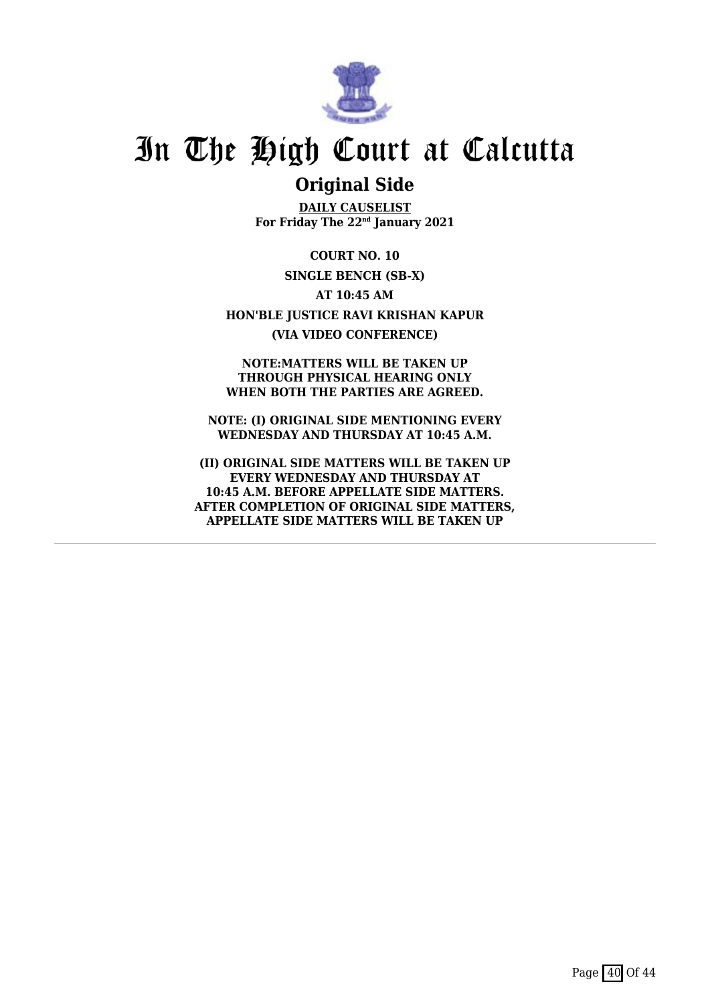

### **Original Side**

**DAILY CAUSELIST For Friday The 22nd January 2021**

**COURT NO. 10 SINGLE BENCH (SB-X) AT 10:45 AM HON'BLE JUSTICE RAVI KRISHAN KAPUR (VIA VIDEO CONFERENCE)**

**NOTE:MATTERS WILL BE TAKEN UP THROUGH PHYSICAL HEARING ONLY WHEN BOTH THE PARTIES ARE AGREED.**

**NOTE: (I) ORIGINAL SIDE MENTIONING EVERY WEDNESDAY AND THURSDAY AT 10:45 A.M.**

**(II) ORIGINAL SIDE MATTERS WILL BE TAKEN UP EVERY WEDNESDAY AND THURSDAY AT 10:45 A.M. BEFORE APPELLATE SIDE MATTERS. AFTER COMPLETION OF ORIGINAL SIDE MATTERS, APPELLATE SIDE MATTERS WILL BE TAKEN UP**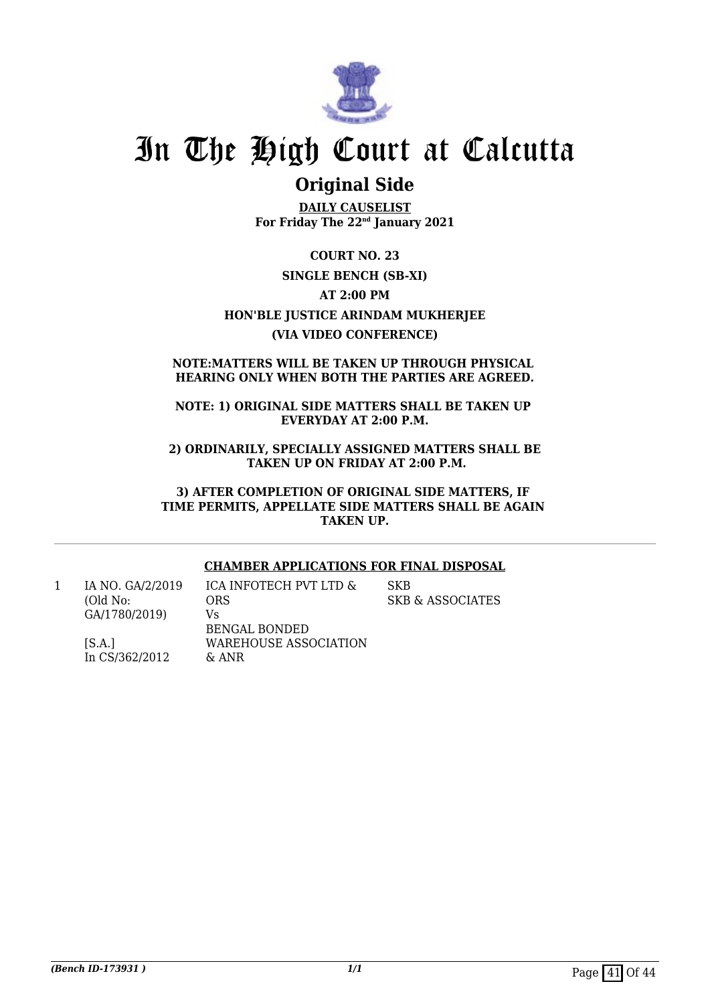

### **Original Side**

**DAILY CAUSELIST For Friday The 22nd January 2021**

**COURT NO. 23 SINGLE BENCH (SB-XI) AT 2:00 PM HON'BLE JUSTICE ARINDAM MUKHERJEE (VIA VIDEO CONFERENCE)**

#### **NOTE:MATTERS WILL BE TAKEN UP THROUGH PHYSICAL HEARING ONLY WHEN BOTH THE PARTIES ARE AGREED.**

#### **NOTE: 1) ORIGINAL SIDE MATTERS SHALL BE TAKEN UP EVERYDAY AT 2:00 P.M.**

**2) ORDINARILY, SPECIALLY ASSIGNED MATTERS SHALL BE TAKEN UP ON FRIDAY AT 2:00 P.M.**

**3) AFTER COMPLETION OF ORIGINAL SIDE MATTERS, IF TIME PERMITS, APPELLATE SIDE MATTERS SHALL BE AGAIN TAKEN UP.**

#### **CHAMBER APPLICATIONS FOR FINAL DISPOSAL**

1 IA NO. GA/2/2019 (Old No: GA/1780/2019)

In CS/362/2012

 $[S.A.]$ 

ICA INFOTECH PVT LTD & ORS Vs BENGAL BONDED WAREHOUSE ASSOCIATION & ANR

**SKB** SKB & ASSOCIATES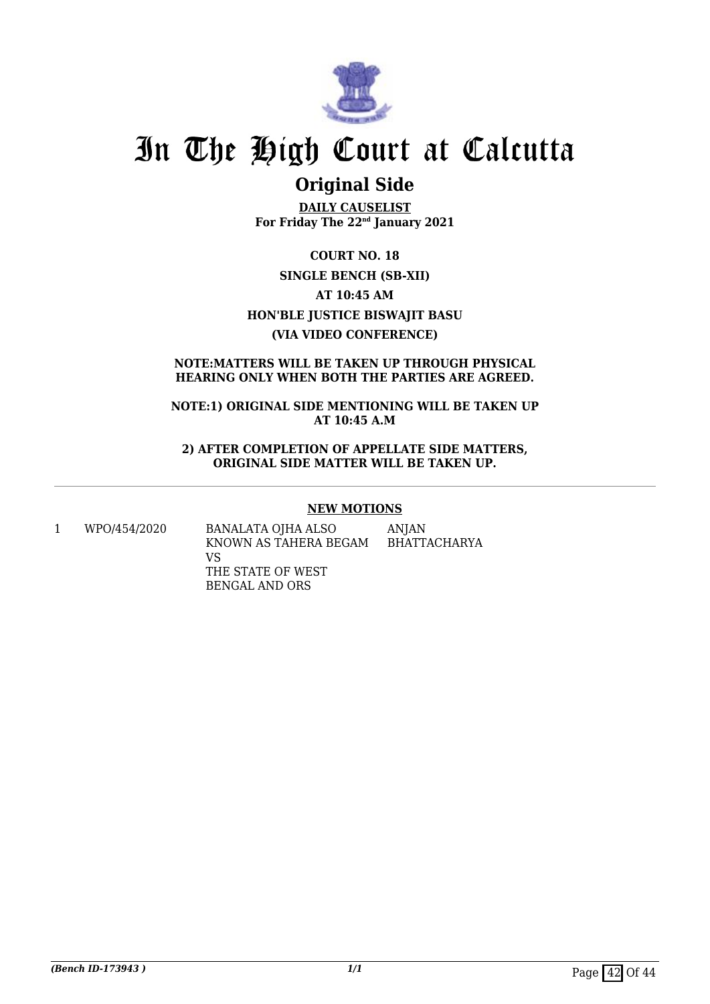

### **Original Side**

**DAILY CAUSELIST For Friday The 22nd January 2021**

**COURT NO. 18 SINGLE BENCH (SB-XII) AT 10:45 AM HON'BLE JUSTICE BISWAJIT BASU (VIA VIDEO CONFERENCE)**

#### **NOTE:MATTERS WILL BE TAKEN UP THROUGH PHYSICAL HEARING ONLY WHEN BOTH THE PARTIES ARE AGREED.**

**NOTE:1) ORIGINAL SIDE MENTIONING WILL BE TAKEN UP AT 10:45 A.M**

**2) AFTER COMPLETION OF APPELLATE SIDE MATTERS, ORIGINAL SIDE MATTER WILL BE TAKEN UP.**

#### **NEW MOTIONS**

1 WPO/454/2020 BANALATA OJHA ALSO KNOWN AS TAHERA BEGAM VS THE STATE OF WEST BENGAL AND ORS ANJAN BHATTACHARYA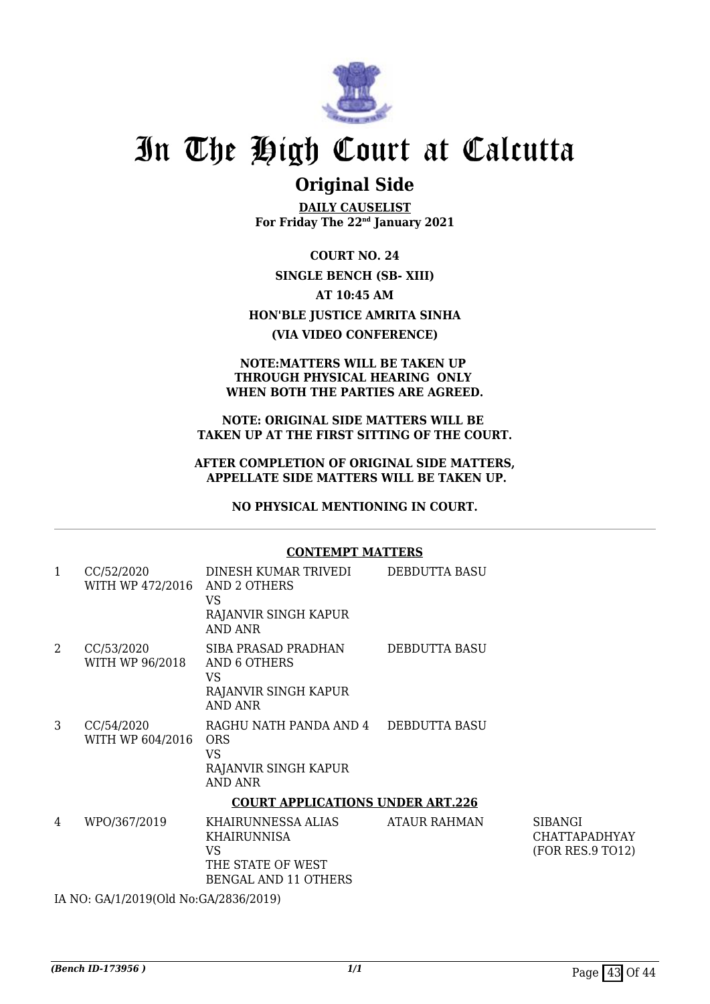

### **Original Side**

**DAILY CAUSELIST For Friday The 22nd January 2021**

**COURT NO. 24 SINGLE BENCH (SB- XIII) AT 10:45 AM HON'BLE JUSTICE AMRITA SINHA (VIA VIDEO CONFERENCE)**

#### **NOTE:MATTERS WILL BE TAKEN UP THROUGH PHYSICAL HEARING ONLY WHEN BOTH THE PARTIES ARE AGREED.**

#### **NOTE: ORIGINAL SIDE MATTERS WILL BE TAKEN UP AT THE FIRST SITTING OF THE COURT.**

#### **AFTER COMPLETION OF ORIGINAL SIDE MATTERS, APPELLATE SIDE MATTERS WILL BE TAKEN UP.**

**NO PHYSICAL MENTIONING IN COURT.**

|              | <b>CONTEMPT MATTERS</b>                     |                                                                                                                                                      |               |                                                            |  |  |
|--------------|---------------------------------------------|------------------------------------------------------------------------------------------------------------------------------------------------------|---------------|------------------------------------------------------------|--|--|
| $\mathbf{1}$ | CC/52/2020<br>WITH WP 472/2016 AND 2 OTHERS | DINESH KUMAR TRIVEDI<br>VS<br>RAJANVIR SINGH KAPUR<br><b>AND ANR</b>                                                                                 | DEBDUTTA BASU |                                                            |  |  |
| 2            | CC/53/2020<br>WITH WP 96/2018               | SIBA PRASAD PRADHAN<br>AND 6 OTHERS<br>VS<br>RAJANVIR SINGH KAPUR<br><b>AND ANR</b>                                                                  | DEBDUTTA BASU |                                                            |  |  |
| 3            | CC/54/2020<br>WITH WP 604/2016              | RAGHU NATH PANDA AND 4 DEBDUTTA BASU<br><b>ORS</b><br><b>VS</b><br>RAJANVIR SINGH KAPUR<br><b>AND ANR</b><br><b>COURT APPLICATIONS UNDER ART.226</b> |               |                                                            |  |  |
| 4            | WPO/367/2019                                | KHAIRUNNESSA ALIAS<br><b>KHAIRUNNISA</b><br><b>VS</b><br>THE STATE OF WEST<br><b>BENGAL AND 11 OTHERS</b>                                            | ATAUR RAHMAN  | <b>SIBANGI</b><br><b>CHATTAPADHYAY</b><br>(FOR RES.9 TO12) |  |  |

IA NO: GA/1/2019(Old No:GA/2836/2019)